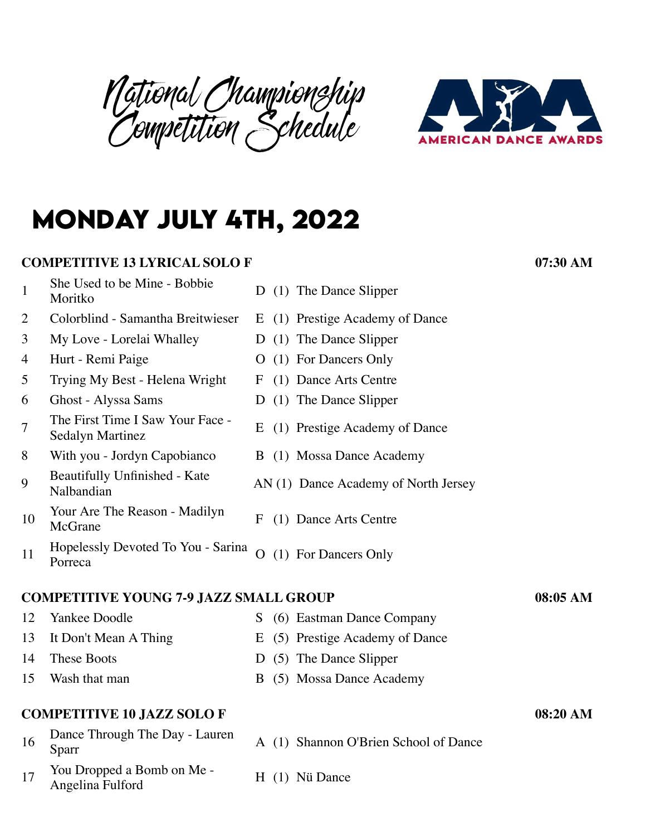National Championship Competition Schedule



# **monday july 4th, 2022**

#### **COMPETITIVE 13 LYRICAL SOLO F 07:30 AM**

- 1 She Used to be Mine Bobbie<br>Moritko
- 2 Colorblind Samantha Breitwieser E (1) Prestige Academy of Dance
- 3 My Love Lorelai Whalley D (1) The Dance Slipper
- 
- 5 Trying My Best Helena Wright F (1) Dance Arts Centre
- 6 Ghost Alyssa Sams D (1) The Dance Slipper
- 7 The First Time I Saw Your Face -<br>Sedalyn Martinez
- 8 With you Jordyn Capobianco B (1) Mossa Dance Academy
- 9 Beautifully Unfinished Kate<br>Nalbandian
- 10 Your Are The Reason Madilyn<br>McGrane
- 11 Hopelessly Devoted To You Sarina<br>Porreca

#### **COMPETITIVE YOUNG 7-9 JAZZ SMALL GROUP 08:05 AM**

- 12 Yankee Doodle S (6) Eastman Dance Company
- 13 It Don't Mean A Thing E (5) Prestige Academy of Dance
- 14 These Boots D (5) The Dance Slipper
- 15 Wash that man B (5) Mossa Dance Academy

#### **COMPETITIVE 10 JAZZ SOLO F 08:20 AM**

- 16 Dance Through The Day Lauren<br>Sparr
- $17$  You Dropped a Bomb on Me -Angelina Fulford H (1) Nü Dance
- D  $(1)$  The Dance Slipper
- 
- 
- 4 Hurt Remi Paige **O** (1) For Dancers Only
	-
	-
	- E (1) Prestige Academy of Dance
	-
	- AN (1) Dance Academy of North Jersey
	- F (1) Dance Arts Centre
	- O (1) For Dancers Only

- A (1) Shannon O'Brien School of Dance
-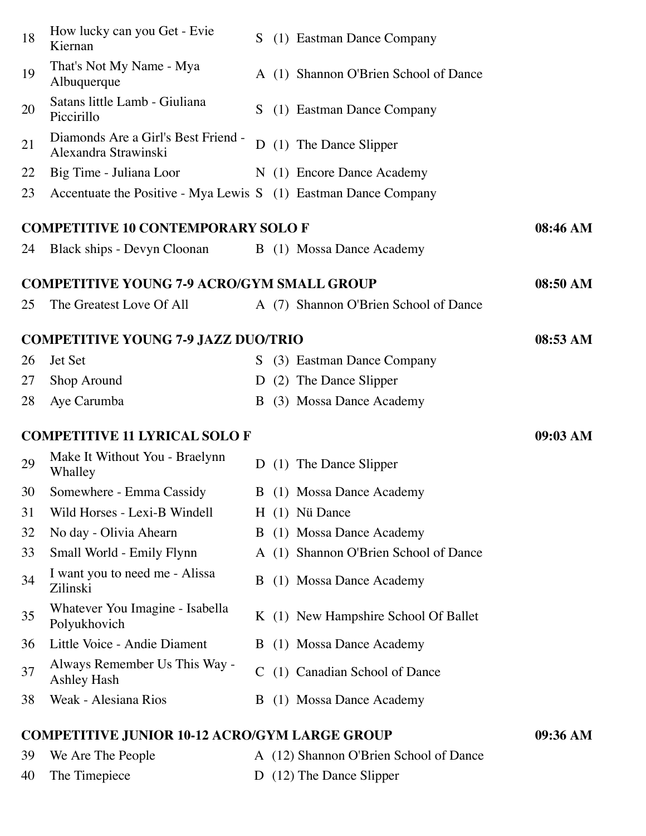|                                      | <b>COMPETITIVE JUNIOR 10-12 ACRO/GYM LARGE GROUP</b>            |          |  |                                       | 09:36 AM |
|--------------------------------------|-----------------------------------------------------------------|----------|--|---------------------------------------|----------|
| 38                                   | Weak - Alesiana Rios                                            |          |  | B (1) Mossa Dance Academy             |          |
| 37                                   | Always Remember Us This Way -<br><b>Ashley Hash</b>             |          |  | C (1) Canadian School of Dance        |          |
| 36                                   | Little Voice - Andie Diament                                    |          |  | B (1) Mossa Dance Academy             |          |
| 35                                   | Whatever You Imagine - Isabella<br>Polyukhovich                 |          |  | K (1) New Hampshire School Of Ballet  |          |
| 34                                   | I want you to need me - Alissa<br>Zilinski                      |          |  | B (1) Mossa Dance Academy             |          |
| 33                                   | Small World - Emily Flynn                                       |          |  | A (1) Shannon O'Brien School of Dance |          |
| 32                                   | No day - Olivia Ahearn                                          |          |  | B (1) Mossa Dance Academy             |          |
| 31                                   | Wild Horses - Lexi-B Windell                                    |          |  | H (1) Nü Dance                        |          |
| 30                                   | Somewhere - Emma Cassidy                                        |          |  | B (1) Mossa Dance Academy             |          |
| 29                                   | Make It Without You - Braelynn<br>Whalley                       | D        |  | (1) The Dance Slipper                 |          |
| <b>COMPETITIVE 11 LYRICAL SOLO F</b> |                                                                 | 09:03 AM |  |                                       |          |
| 28                                   | Aye Carumba                                                     | B        |  | (3) Mossa Dance Academy               |          |
| 27                                   | Shop Around                                                     | D        |  | (2) The Dance Slipper                 |          |
| 26                                   | Jet Set                                                         |          |  | S (3) Eastman Dance Company           |          |
|                                      | <b>COMPETITIVE YOUNG 7-9 JAZZ DUO/TRIO</b>                      |          |  |                                       | 08:53 AM |
| 25                                   | The Greatest Love Of All                                        |          |  | A (7) Shannon O'Brien School of Dance |          |
|                                      | <b>COMPETITIVE YOUNG 7-9 ACRO/GYM SMALL GROUP</b>               |          |  |                                       | 08:50 AM |
|                                      |                                                                 |          |  |                                       |          |
| 24                                   | Black ships - Devyn Cloonan B (1) Mossa Dance Academy           |          |  |                                       |          |
|                                      | <b>COMPETITIVE 10 CONTEMPORARY SOLO F</b>                       |          |  |                                       | 08:46 AM |
| 23                                   | Accentuate the Positive - Mya Lewis S (1) Eastman Dance Company |          |  |                                       |          |
| 22                                   | Big Time - Juliana Loor                                         |          |  | N (1) Encore Dance Academy            |          |
| 21                                   | Diamonds Are a Girl's Best Friend -<br>Alexandra Strawinski     |          |  | D (1) The Dance Slipper               |          |
| 20                                   | Satans little Lamb - Giuliana<br>Piccirillo                     | S.       |  | (1) Eastman Dance Company             |          |
| 19                                   | That's Not My Name - Mya<br>Albuquerque                         |          |  | A (1) Shannon O'Brien School of Dance |          |
| 18                                   | How lucky can you Get - Evie<br>Kiernan                         |          |  | S (1) Eastman Dance Company           |          |

39 We Are The People A (12) Shannon O'Brien School of Dance 40 The Timepiece D (12) The Dance Slipper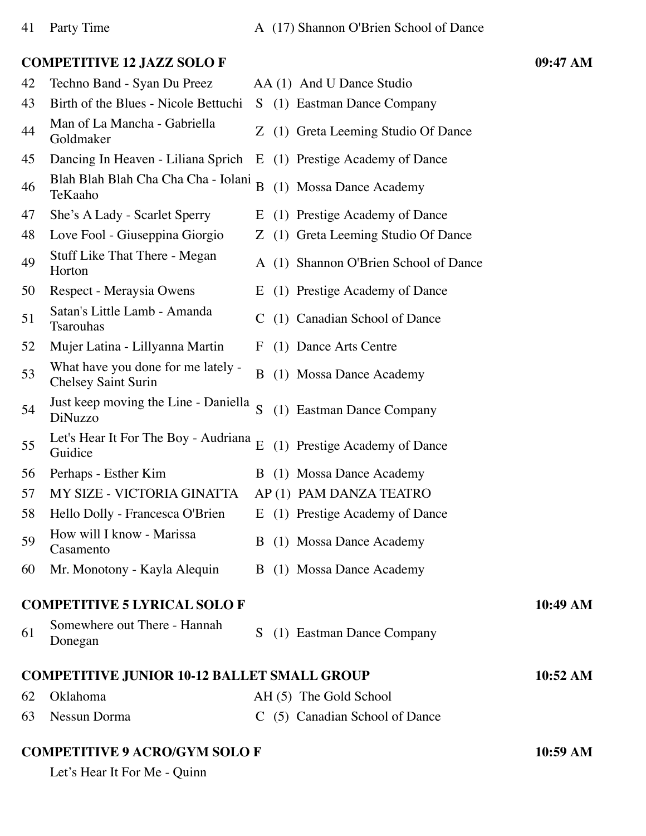#### **COMPETITIVE 12 JAZZ SOLO F 09:47 AM**

| 42 | Techno Band - Syan Du Preez                                      |                | AA (1) And U Dance Studio             |          |
|----|------------------------------------------------------------------|----------------|---------------------------------------|----------|
| 43 | Birth of the Blues - Nicole Bettuchi                             |                | S (1) Eastman Dance Company           |          |
| 44 | Man of La Mancha - Gabriella<br>Goldmaker                        |                | Z (1) Greta Leeming Studio Of Dance   |          |
| 45 | Dancing In Heaven - Liliana Sprich                               |                | E (1) Prestige Academy of Dance       |          |
| 46 | Blah Blah Blah Cha Cha - Iolani<br>TeKaaho                       | $\overline{B}$ | (1) Mossa Dance Academy               |          |
| 47 | She's A Lady - Scarlet Sperry                                    | E              | (1) Prestige Academy of Dance         |          |
| 48 | Love Fool - Giuseppina Giorgio                                   |                | Z (1) Greta Leeming Studio Of Dance   |          |
| 49 | <b>Stuff Like That There - Megan</b><br>Horton                   |                | A (1) Shannon O'Brien School of Dance |          |
| 50 | Respect - Meraysia Owens                                         |                | E (1) Prestige Academy of Dance       |          |
| 51 | Satan's Little Lamb - Amanda<br><b>Tsarouhas</b>                 |                | C (1) Canadian School of Dance        |          |
| 52 | Mujer Latina - Lillyanna Martin                                  | $\mathbf{F}$   | (1) Dance Arts Centre                 |          |
| 53 | What have you done for me lately -<br><b>Chelsey Saint Surin</b> | B              | (1) Mossa Dance Academy               |          |
| 54 | Just keep moving the Line - Daniella<br>DiNuzzo                  | S              | (1) Eastman Dance Company             |          |
| 55 | Let's Hear It For The Boy - Audriana<br>Guidice                  | E              | (1) Prestige Academy of Dance         |          |
| 56 | Perhaps - Esther Kim                                             |                | B (1) Mossa Dance Academy             |          |
| 57 | MY SIZE - VICTORIA GINATTA                                       |                | AP(1) PAM DANZA TEATRO                |          |
| 58 | Hello Dolly - Francesca O'Brien                                  |                | E (1) Prestige Academy of Dance       |          |
| 59 | How will I know - Marissa<br>Casamento                           |                | B (1) Mossa Dance Academy             |          |
| 60 | Mr. Monotony - Kayla Alequin                                     |                | B (1) Mossa Dance Academy             |          |
|    | <b>COMPETITIVE 5 LYRICAL SOLO F</b>                              |                |                                       | 10:49 AM |
| 61 | Somewhere out There - Hannah<br>Donegan                          |                | S (1) Eastman Dance Company           |          |
|    | <b>COMPETITIVE JUNIOR 10-12 BALLET SMALL GROUP</b>               |                |                                       | 10:52 AM |
| 62 | Oklahoma                                                         |                | AH (5) The Gold School                |          |
| 63 | Nessun Dorma                                                     |                | C (5) Canadian School of Dance        |          |
|    | <b>COMPETITIVE 9 ACRO/GYM SOLO F</b>                             |                |                                       | 10:59 AM |

Let's Hear It For Me - Quinn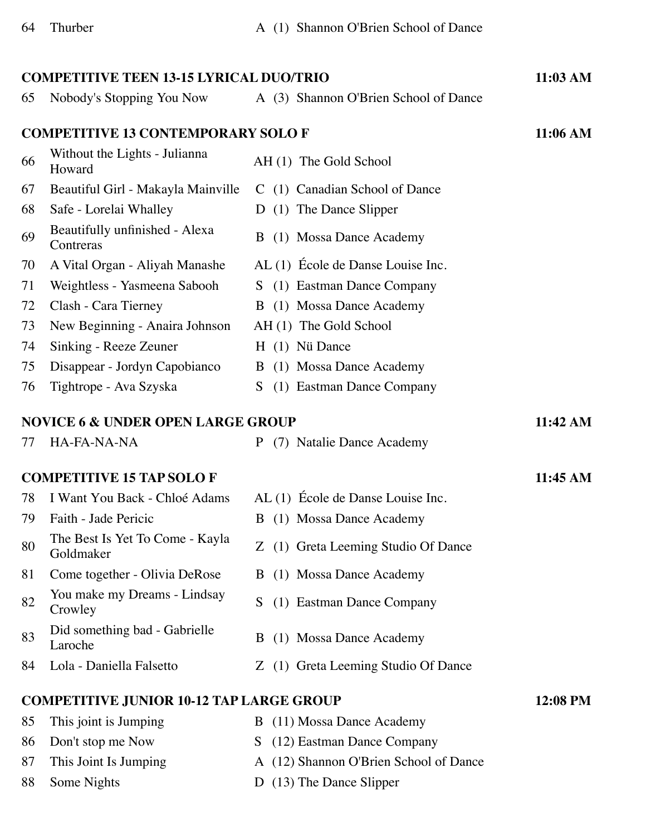| <b>COMPETITIVE TEEN 13-15 LYRICAL DUO/TRIO</b> |                                                 |                                        |          |  |  |
|------------------------------------------------|-------------------------------------------------|----------------------------------------|----------|--|--|
| 65                                             | Nobody's Stopping You Now                       | A (3) Shannon O'Brien School of Dance  |          |  |  |
|                                                | <b>COMPETITIVE 13 CONTEMPORARY SOLO F</b>       |                                        | 11:06 AM |  |  |
| 66                                             | Without the Lights - Julianna<br>Howard         | AH (1) The Gold School                 |          |  |  |
| 67                                             | Beautiful Girl - Makayla Mainville              | C (1) Canadian School of Dance         |          |  |  |
| 68                                             | Safe - Lorelai Whalley                          | D (1) The Dance Slipper                |          |  |  |
| 69                                             | Beautifully unfinished - Alexa<br>Contreras     | B (1) Mossa Dance Academy              |          |  |  |
| 70                                             | A Vital Organ - Aliyah Manashe                  | AL (1) École de Danse Louise Inc.      |          |  |  |
| 71                                             | Weightless - Yasmeena Sabooh                    | S (1) Eastman Dance Company            |          |  |  |
| 72                                             | Clash - Cara Tierney                            | B (1) Mossa Dance Academy              |          |  |  |
| 73                                             | New Beginning - Anaira Johnson                  | AH (1) The Gold School                 |          |  |  |
| 74                                             | Sinking - Reeze Zeuner                          | H (1) Nü Dance                         |          |  |  |
| 75                                             | Disappear - Jordyn Capobianco                   | B (1) Mossa Dance Academy              |          |  |  |
| 76                                             | Tightrope - Ava Szyska                          | S.<br>(1) Eastman Dance Company        |          |  |  |
| <b>NOVICE 6 &amp; UNDER OPEN LARGE GROUP</b>   |                                                 |                                        |          |  |  |
| 77                                             | HA-FA-NA-NA                                     | P (7) Natalie Dance Academy            |          |  |  |
|                                                | <b>COMPETITIVE 15 TAP SOLO F</b>                |                                        | 11:45 AM |  |  |
| 78                                             | I Want You Back - Chloé Adams                   | AL (1) École de Danse Louise Inc.      |          |  |  |
| 79                                             | Faith - Jade Pericic                            | B (1) Mossa Dance Academy              |          |  |  |
| 80                                             | The Best Is Yet To Come - Kayla<br>Goldmaker    | Z (1) Greta Leeming Studio Of Dance    |          |  |  |
| 81                                             | Come together - Olivia DeRose                   | (1) Mossa Dance Academy<br>B           |          |  |  |
| 82                                             | You make my Dreams - Lindsay<br>Crowley         | S.<br>(1) Eastman Dance Company        |          |  |  |
| 83                                             | Did something bad - Gabrielle<br>Laroche        | (1) Mossa Dance Academy<br>B           |          |  |  |
| 84                                             | Lola - Daniella Falsetto                        | Z (1) Greta Leeming Studio Of Dance    |          |  |  |
|                                                | <b>COMPETITIVE JUNIOR 10-12 TAP LARGE GROUP</b> |                                        | 12:08 PM |  |  |
| 85                                             | This joint is Jumping                           | B (11) Mossa Dance Academy             |          |  |  |
| 86                                             | Don't stop me Now                               | S (12) Eastman Dance Company           |          |  |  |
| 87                                             | This Joint Is Jumping                           | A (12) Shannon O'Brien School of Dance |          |  |  |
| 88                                             | Some Nights                                     | D (13) The Dance Slipper               |          |  |  |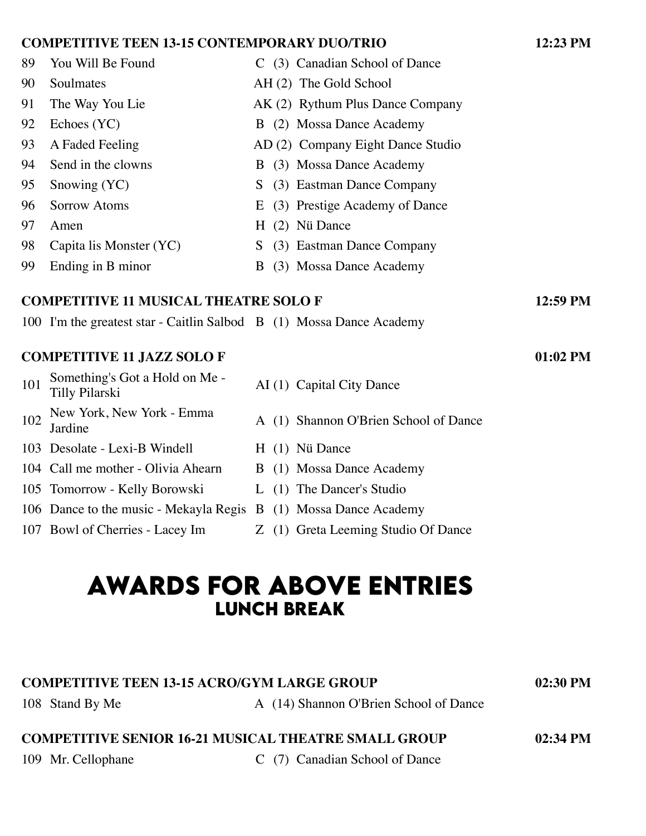#### **COMPETITIVE TEEN 13-15 CONTEMPORARY DUO/TRIO 12:23 PM**

| 89  | You Will Be Found                                                    |   |     | C (3) Canadian School of Dance    |            |
|-----|----------------------------------------------------------------------|---|-----|-----------------------------------|------------|
| 90  | Soulmates                                                            |   |     | AH (2) The Gold School            |            |
| 91  | The Way You Lie                                                      |   |     | AK (2) Rythum Plus Dance Company  |            |
| 92  | Echoes (YC)                                                          |   |     | B (2) Mossa Dance Academy         |            |
| 93  | A Faded Feeling                                                      |   |     | AD (2) Company Eight Dance Studio |            |
| 94  | Send in the clowns                                                   |   |     | B (3) Mossa Dance Academy         |            |
| 95  | Snowing (YC)                                                         | S |     | (3) Eastman Dance Company         |            |
| 96  | <b>Sorrow Atoms</b>                                                  | E |     | (3) Prestige Academy of Dance     |            |
| 97  | Amen                                                                 | H |     | (2) Nü Dance                      |            |
| 98  | Capita lis Monster (YC)                                              | S |     | (3) Eastman Dance Company         |            |
| 99  | Ending in B minor                                                    | B |     | (3) Mossa Dance Academy           |            |
|     | <b>COMPETITIVE 11 MUSICAL THEATRE SOLO F</b>                         |   |     |                                   | 12:59 PM   |
|     | 100 I'm the greatest star - Caitlin Salbod B (1) Mossa Dance Academy |   |     |                                   |            |
|     |                                                                      |   |     |                                   |            |
|     | <b>COMPETITIVE 11 JAZZ SOLOF</b>                                     |   |     |                                   | $01:02$ PM |
| 101 | Something's Got a Hold on Me -<br>Tilly Pilarski                     |   |     | AI (1) Capital City Dance         |            |
| 102 | New York, New York - Emma<br>Jardine                                 | A | (1) | Shannon O'Brien School of Dance   |            |
|     |                                                                      |   |     |                                   |            |

- 103 Desolate Lexi-B Windell H (1) Nü Dance
- 104 Call me mother Olivia Ahearn B (1) Mossa Dance Academy
- 105 Tomorrow Kelly Borowski L (1) The Dancer's Studio
- 106 Dance to the music Mekayla Regis B (1) Mossa Dance Academy
- 
- -
	-
	-
- 107 Bowl of Cherries Lacey Im Z (1) Greta Leeming Studio Of Dance

## **awards for above entrIes lunch break**

### **COMPETITIVE TEEN 13-15 ACRO/GYM LARGE GROUP 02:30 PM**

108 Stand By Me A (14) Shannon O'Brien School of Dance

### **COMPETITIVE SENIOR 16-21 MUSICAL THEATRE SMALL GROUP 02:34 PM**

109 Mr. Cellophane C (7) Canadian School of Dance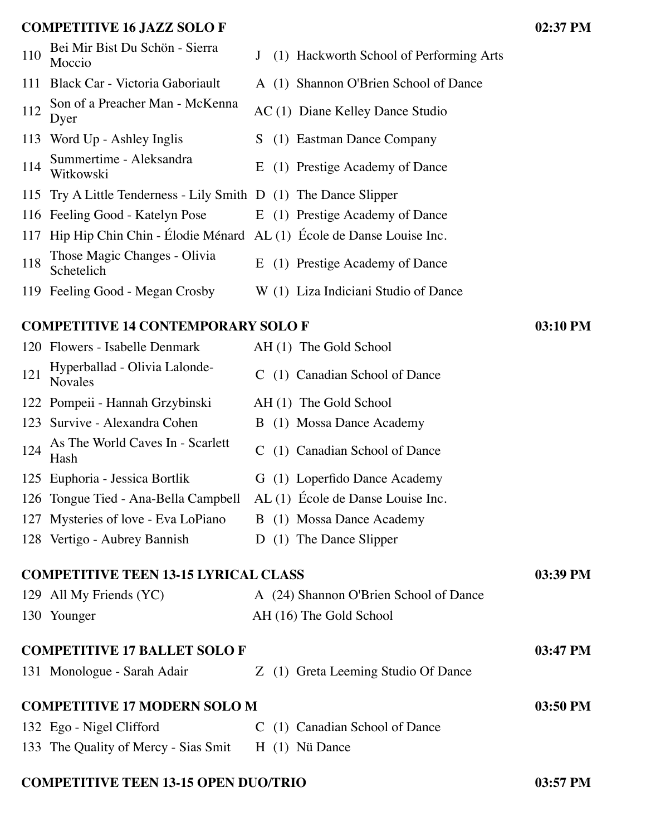#### **COMPETITIVE 16 JAZZ SOLO F 02:37 PM**

|     | CONIL ETTITVE TO JAZZ SOLOT                                             |   |                                         | $V = V$ |
|-----|-------------------------------------------------------------------------|---|-----------------------------------------|---------|
| 110 | Bei Mir Bist Du Schön - Sierra<br>Moccio                                | J | (1) Hackworth School of Performing Arts |         |
|     | 111 Black Car - Victoria Gaboriault                                     |   | A (1) Shannon O'Brien School of Dance   |         |
| 112 | Son of a Preacher Man - McKenna<br>Dyer                                 |   | AC (1) Diane Kelley Dance Studio        |         |
|     | 113 Word Up - Ashley Inglis                                             |   | S (1) Eastman Dance Company             |         |
| 114 | Summertime - Aleksandra<br>Witkowski                                    |   | E (1) Prestige Academy of Dance         |         |
|     | 115 Try A Little Tenderness - Lily Smith D (1) The Dance Slipper        |   |                                         |         |
|     | 116 Feeling Good - Katelyn Pose E (1) Prestige Academy of Dance         |   |                                         |         |
|     | 117 Hip Hip Chin Chin - Élodie Ménard AL (1) École de Danse Louise Inc. |   |                                         |         |
| 118 | Those Magic Changes - Olivia<br>Schetelich                              |   | E (1) Prestige Academy of Dance         |         |
|     | 119 Feeling Good - Megan Crosby                                         |   | W (1) Liza Indiciani Studio of Dance    |         |
|     |                                                                         |   |                                         |         |

#### **COMPETITIVE 14 CONTEMPORARY SOLO F 03:10 PM**

|     | 120 Flowers - Isabelle Denmark                  | AH (1) The Gold School                 |          |
|-----|-------------------------------------------------|----------------------------------------|----------|
| 121 | Hyperballad - Olivia Lalonde-<br><b>Novales</b> | C (1) Canadian School of Dance         |          |
|     | 122 Pompeii - Hannah Grzybinski                 | AH (1) The Gold School                 |          |
|     | 123 Survive - Alexandra Cohen                   | B (1) Mossa Dance Academy              |          |
| 124 | As The World Caves In - Scarlett<br>Hash        | C (1) Canadian School of Dance         |          |
|     | 125 Euphoria - Jessica Bortlik                  | G (1) Loperfido Dance Academy          |          |
|     | 126 Tongue Tied - Ana-Bella Campbell            | AL (1) École de Danse Louise Inc.      |          |
|     | 127 Mysteries of love - Eva LoPiano             | B (1) Mossa Dance Academy              |          |
|     | 128 Vertigo - Aubrey Bannish                    | (1) The Dance Slipper<br>D             |          |
|     | <b>COMPETITIVE TEEN 13-15 LYRICAL CLASS</b>     |                                        | 03:39 PM |
|     | 129 All My Friends (YC)                         | A (24) Shannon O'Brien School of Dance |          |
|     | 130 Younger                                     | AH (16) The Gold School                |          |
|     | <b>COMPETITIVE 17 BALLET SOLO F</b>             |                                        | 03:47 PM |
|     | 131 Monologue - Sarah Adair                     | Z (1) Greta Leeming Studio Of Dance    |          |
|     | <b>COMPETITIVE 17 MODERN SOLO M</b>             |                                        | 03:50 PM |
|     | 132 Ego - Nigel Clifford                        | (1) Canadian School of Dance<br>C.     |          |
|     | 133 The Quality of Mercy - Sias Smit            | $H(1)$ Nü Dance                        |          |
|     |                                                 |                                        |          |

#### **COMPETITIVE TEEN 13-15 OPEN DUO/TRIO 03:57 PM**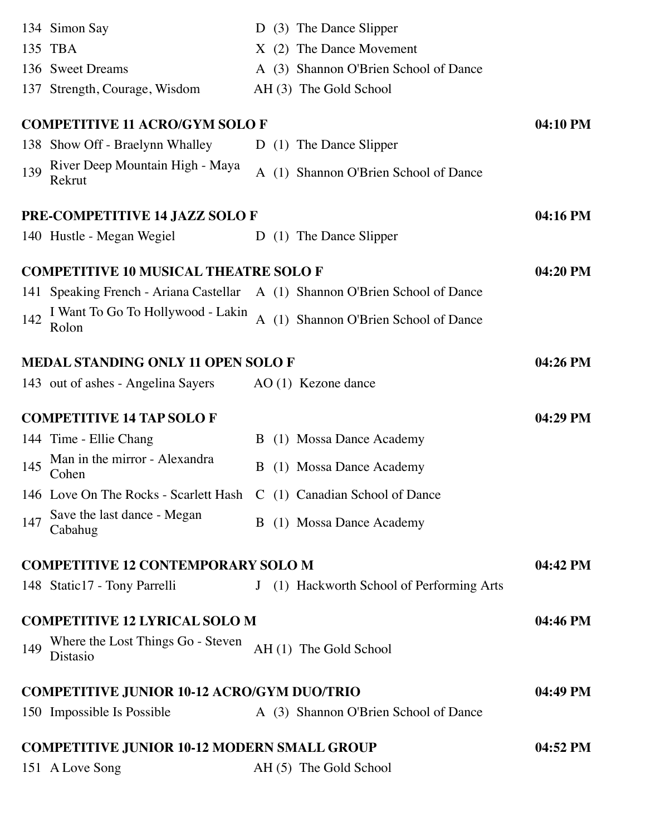|     | 134 Simon Say                                                                |   | D (3) The Dance Slipper                   |          |
|-----|------------------------------------------------------------------------------|---|-------------------------------------------|----------|
|     | 135 TBA                                                                      |   | X (2) The Dance Movement                  |          |
|     | 136 Sweet Dreams                                                             |   | A (3) Shannon O'Brien School of Dance     |          |
|     | 137 Strength, Courage, Wisdom                                                |   | AH (3) The Gold School                    |          |
|     | <b>COMPETITIVE 11 ACRO/GYM SOLO F</b>                                        |   |                                           | 04:10 PM |
|     | 138 Show Off - Braelynn Whalley                                              |   | D (1) The Dance Slipper                   |          |
| 139 | River Deep Mountain High - Maya<br>Rekrut                                    |   | A (1) Shannon O'Brien School of Dance     |          |
|     | PRE-COMPETITIVE 14 JAZZ SOLO F                                               |   |                                           | 04:16 PM |
|     | 140 Hustle - Megan Wegiel                                                    |   | D (1) The Dance Slipper                   |          |
|     | <b>COMPETITIVE 10 MUSICAL THEATRE SOLO F</b>                                 |   |                                           | 04:20 PM |
|     | 141 Speaking French - Ariana Castellar A (1) Shannon O'Brien School of Dance |   |                                           |          |
| 142 | I Want To Go To Hollywood - Lakin<br>Rolon                                   |   | A (1) Shannon O'Brien School of Dance     |          |
|     | <b>MEDAL STANDING ONLY 11 OPEN SOLO F</b>                                    |   |                                           | 04:26 PM |
|     | 143 out of ashes - Angelina Sayers                                           |   | $AO(1)$ Kezone dance                      |          |
|     |                                                                              |   |                                           |          |
|     | <b>COMPETITIVE 14 TAP SOLO F</b>                                             |   |                                           | 04:29 PM |
|     | 144 Time - Ellie Chang                                                       |   | B (1) Mossa Dance Academy                 |          |
| 145 | Man in the mirror - Alexandra<br>Cohen                                       | B | (1) Mossa Dance Academy                   |          |
|     | 146 Love On The Rocks - Scarlett Hash C (1) Canadian School of Dance         |   |                                           |          |
| 147 | Save the last dance - Megan<br>Cabahug                                       |   | B (1) Mossa Dance Academy                 |          |
|     | <b>COMPETITIVE 12 CONTEMPORARY SOLO M</b>                                    |   |                                           | 04:42 PM |
|     | 148 Static17 - Tony Parrelli                                                 |   | J (1) Hackworth School of Performing Arts |          |
|     | <b>COMPETITIVE 12 LYRICAL SOLO M</b>                                         |   |                                           | 04:46 PM |
| 149 | Where the Lost Things Go - Steven<br>Distasio                                |   | AH (1) The Gold School                    |          |
|     | <b>COMPETITIVE JUNIOR 10-12 ACRO/GYM DUO/TRIO</b>                            |   |                                           | 04:49 PM |
|     | 150 Impossible Is Possible                                                   |   | A (3) Shannon O'Brien School of Dance     |          |
|     | <b>COMPETITIVE JUNIOR 10-12 MODERN SMALL GROUP</b>                           |   |                                           | 04:52 PM |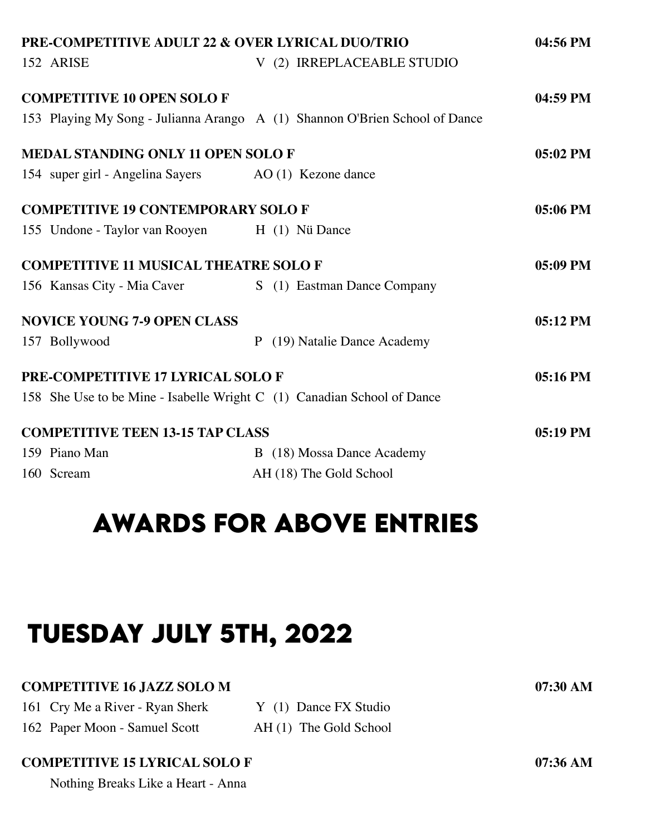| PRE-COMPETITIVE ADULT 22 & OVER LYRICAL DUO/TRIO                            |  |  |  |                              |            |  |
|-----------------------------------------------------------------------------|--|--|--|------------------------------|------------|--|
| 152 ARISE                                                                   |  |  |  | V (2) IRREPLACEABLE STUDIO   |            |  |
| <b>COMPETITIVE 10 OPEN SOLOF</b>                                            |  |  |  |                              | 04:59 PM   |  |
| 153 Playing My Song - Julianna Arango A (1) Shannon O'Brien School of Dance |  |  |  |                              |            |  |
| <b>MEDAL STANDING ONLY 11 OPEN SOLOF</b>                                    |  |  |  |                              | 05:02 PM   |  |
| 154 super girl - Angelina Sayers AO (1) Kezone dance                        |  |  |  |                              |            |  |
| <b>COMPETITIVE 19 CONTEMPORARY SOLO F</b>                                   |  |  |  |                              | 05:06 PM   |  |
| 155 Undone - Taylor van Rooyen H (1) Nü Dance                               |  |  |  |                              |            |  |
| <b>COMPETITIVE 11 MUSICAL THEATRE SOLO F</b>                                |  |  |  |                              | 05:09 PM   |  |
| 156 Kansas City - Mia Caver                                                 |  |  |  | S (1) Eastman Dance Company  |            |  |
| <b>NOVICE YOUNG 7-9 OPEN CLASS</b>                                          |  |  |  |                              | 05:12 PM   |  |
| 157 Bollywood                                                               |  |  |  | P (19) Natalie Dance Academy |            |  |
| <b>PRE-COMPETITIVE 17 LYRICAL SOLO F</b>                                    |  |  |  |                              | 05:16 PM   |  |
| 158 She Use to be Mine - Isabelle Wright C (1) Canadian School of Dance     |  |  |  |                              |            |  |
| <b>COMPETITIVE TEEN 13-15 TAP CLASS</b>                                     |  |  |  |                              | $05:19$ PM |  |
| 159 Piano Man                                                               |  |  |  | B (18) Mossa Dance Academy   |            |  |
| 160 Scream                                                                  |  |  |  | AH (18) The Gold School      |            |  |

## **awards for above entrIes**

# **tuesday july 5th, 2022**

#### **COMPETITIVE 16 JAZZ SOLO M 07:30 AM**

| 161 Cry Me a River - Ryan Sherk | Y (1) Dance FX Studio  |
|---------------------------------|------------------------|
| 162 Paper Moon - Samuel Scott   | AH (1) The Gold School |

#### **COMPETITIVE 15 LYRICAL SOLO F 07:36 AM**

Nothing Breaks Like a Heart - Anna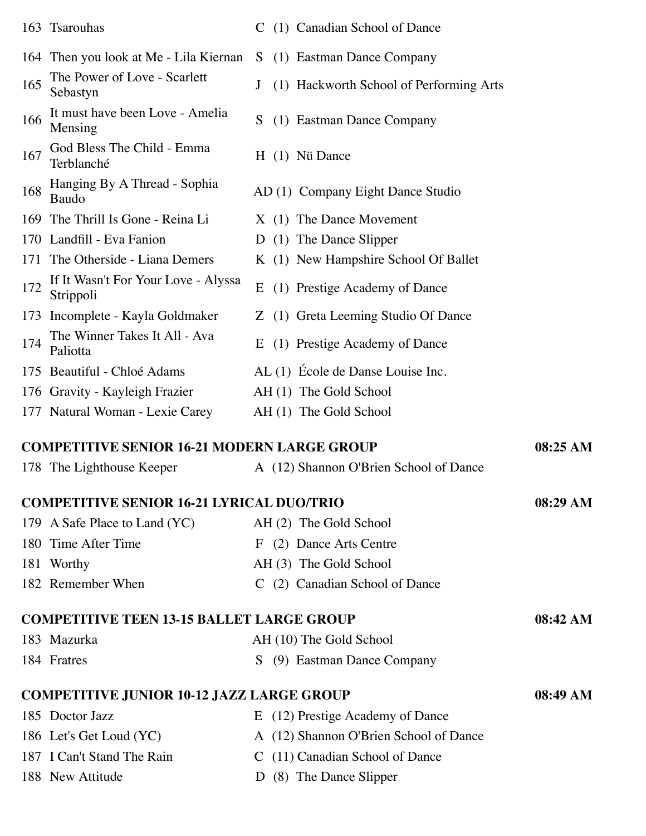|     | 163 Tsarouhas                                                      |    | C (1) Canadian School of Dance          |          |
|-----|--------------------------------------------------------------------|----|-----------------------------------------|----------|
|     | 164 Then you look at Me - Lila Kiernan S (1) Eastman Dance Company |    |                                         |          |
| 165 | The Power of Love - Scarlett<br>Sebastyn                           |    | (1) Hackworth School of Performing Arts |          |
| 166 | It must have been Love - Amelia<br>Mensing                         | S. | (1) Eastman Dance Company               |          |
| 167 | God Bless The Child - Emma<br>Terblanché                           |    | H (1) Nü Dance                          |          |
| 168 | Hanging By A Thread - Sophia<br>Baudo                              |    | AD (1) Company Eight Dance Studio       |          |
|     | 169 The Thrill Is Gone - Reina Li                                  |    | X (1) The Dance Movement                |          |
|     | 170 Landfill - Eva Fanion                                          |    | D (1) The Dance Slipper                 |          |
|     | 171 The Otherside - Liana Demers                                   |    | K (1) New Hampshire School Of Ballet    |          |
| 172 | If It Wasn't For Your Love - Alyssa<br>Strippoli                   | E  | (1) Prestige Academy of Dance           |          |
|     | 173 Incomplete - Kayla Goldmaker                                   |    | Z (1) Greta Leeming Studio Of Dance     |          |
| 174 | The Winner Takes It All - Ava<br>Paliotta                          |    | E (1) Prestige Academy of Dance         |          |
|     | 175 Beautiful - Chloé Adams                                        |    | AL (1) École de Danse Louise Inc.       |          |
|     | 176 Gravity - Kayleigh Frazier                                     |    | AH (1) The Gold School                  |          |
|     | 177 Natural Woman - Lexie Carey                                    |    | AH (1) The Gold School                  |          |
|     | <b>COMPETITIVE SENIOR 16-21 MODERN LARGE GROUP</b>                 |    |                                         | 08:25 AM |

| 178 The Lighthouse Keeper                        | A (12) Shannon O'Brien School of Dance |            |
|--------------------------------------------------|----------------------------------------|------------|
| <b>COMPETITIVE SENIOR 16-21 LYRICAL DUO/TRIO</b> |                                        | 08:29 AM   |
| 179 A Safe Place to Land (YC)                    | AH (2) The Gold School                 |            |
| 180 Time After Time                              | F (2) Dance Arts Centre                |            |
| 181 Worthy                                       | AH (3) The Gold School                 |            |
| 182 Remember When                                | C (2) Canadian School of Dance         |            |
| <b>COMPETITIVE TEEN 13-15 BALLET LARGE GROUP</b> |                                        | 08:42 AM   |
| 183 Mazurka                                      | AH (10) The Gold School                |            |
| 184 Fratres                                      | (9) Eastman Dance Company<br>S.        |            |
| <b>COMPETITIVE JUNIOR 10-12 JAZZ LARGE GROUP</b> |                                        | $08:49$ AM |
| 185 Doctor Jazz                                  | E (12) Prestige Academy of Dance       |            |

- 186 Let's Get Loud (YC) A (12) Shannon O'Brien School of Dance
- 187 I Can't Stand The Rain C (11) Canadian School of Dance
- 188 New Attitude D (8) The Dance Slipper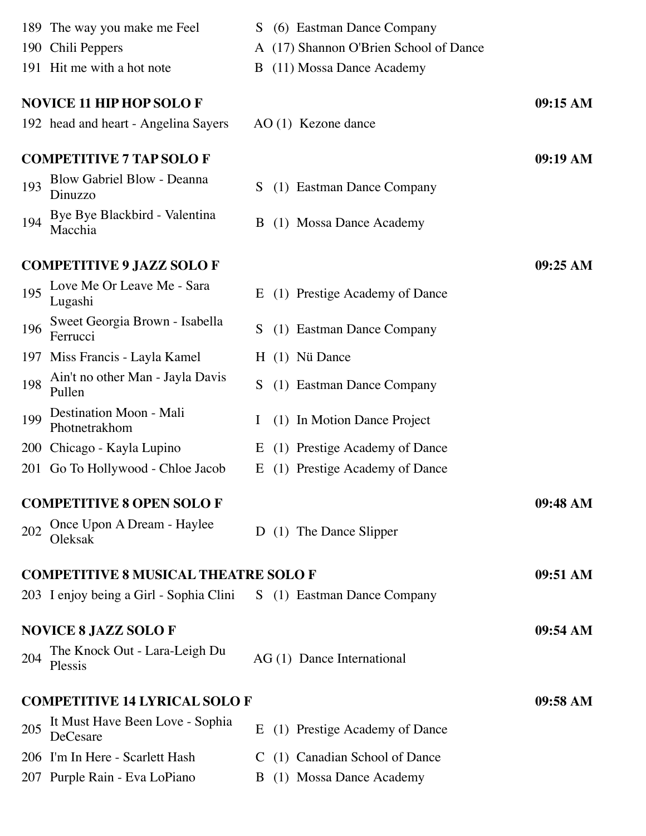|     | 189 The way you make me Feel                                        | S  | (6) Eastman Dance Company              |          |
|-----|---------------------------------------------------------------------|----|----------------------------------------|----------|
|     | 190 Chili Peppers                                                   |    | A (17) Shannon O'Brien School of Dance |          |
|     | 191 Hit me with a hot note                                          | B  | (11) Mossa Dance Academy               |          |
|     | <b>NOVICE 11 HIP HOP SOLO F</b>                                     |    |                                        | 09:15 AM |
|     | 192 head and heart - Angelina Sayers                                |    | $AO(1)$ Kezone dance                   |          |
|     | <b>COMPETITIVE 7 TAP SOLO F</b>                                     |    |                                        | 09:19 AM |
| 193 | Blow Gabriel Blow - Deanna<br>Dinuzzo                               | S  | (1) Eastman Dance Company              |          |
| 194 | Bye Bye Blackbird - Valentina<br>Macchia                            | B  | (1) Mossa Dance Academy                |          |
|     | <b>COMPETITIVE 9 JAZZ SOLO F</b>                                    |    |                                        | 09:25 AM |
| 195 | Love Me Or Leave Me - Sara<br>Lugashi                               | E  | (1) Prestige Academy of Dance          |          |
| 196 | Sweet Georgia Brown - Isabella<br>Ferrucci                          | S. | (1) Eastman Dance Company              |          |
| 197 | Miss Francis - Layla Kamel                                          |    | H (1) Nü Dance                         |          |
| 198 | Ain't no other Man - Jayla Davis<br>Pullen                          | S  | (1) Eastman Dance Company              |          |
| 199 | Destination Moon - Mali<br>Photnetrakhom                            |    | (1) In Motion Dance Project            |          |
|     | 200 Chicago - Kayla Lupino                                          | E  | (1) Prestige Academy of Dance          |          |
| 201 | Go To Hollywood - Chloe Jacob                                       | E  | (1) Prestige Academy of Dance          |          |
|     | <b>COMPETITIVE 8 OPEN SOLO F</b>                                    |    |                                        | 09:48 AM |
| 202 | Once Upon A Dream - Haylee<br>Oleksak                               |    | D (1) The Dance Slipper                |          |
|     | <b>COMPETITIVE 8 MUSICAL THEATRE SOLO F</b>                         |    |                                        | 09:51 AM |
|     | 203 I enjoy being a Girl - Sophia Clini S (1) Eastman Dance Company |    |                                        |          |
|     | <b>NOVICE 8 JAZZ SOLOF</b>                                          |    |                                        | 09:54 AM |
| 204 | The Knock Out - Lara-Leigh Du<br>Plessis                            |    | AG (1) Dance International             |          |
|     | <b>COMPETITIVE 14 LYRICAL SOLO F</b>                                |    |                                        | 09:58 AM |
| 205 | It Must Have Been Love - Sophia<br>DeCesare                         | E  | (1) Prestige Academy of Dance          |          |
|     | 206 I'm In Here - Scarlett Hash                                     |    | C (1) Canadian School of Dance         |          |
|     | 207 Purple Rain - Eva LoPiano                                       |    | B (1) Mossa Dance Academy              |          |
|     |                                                                     |    |                                        |          |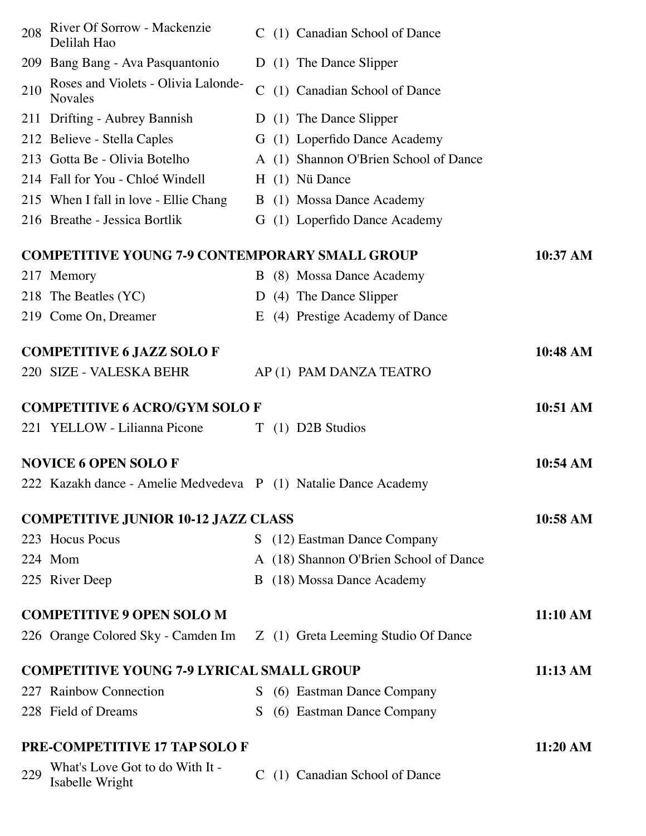| 208 | River Of Sorrow - Mackenzie<br>Delilah Hao                             |               | C (1) Canadian School of Dance         |          |
|-----|------------------------------------------------------------------------|---------------|----------------------------------------|----------|
|     | 209 Bang Bang - Ava Pasquantonio                                       |               | D (1) The Dance Slipper                |          |
| 210 | Roses and Violets - Olivia Lalonde-<br><b>Novales</b>                  | $\mathcal{C}$ | (1) Canadian School of Dance           |          |
|     | 211 Drifting - Aubrey Bannish                                          |               | D (1) The Dance Slipper                |          |
|     | 212 Believe - Stella Caples                                            |               | G (1) Loperfido Dance Academy          |          |
|     | 213 Gotta Be - Olivia Botelho                                          |               | A (1) Shannon O'Brien School of Dance  |          |
|     | 214 Fall for You - Chloé Windell                                       |               | H (1) Nü Dance                         |          |
|     | 215 When I fall in love - Ellie Chang                                  |               | B (1) Mossa Dance Academy              |          |
|     | 216 Breathe - Jessica Bortlik                                          |               | G (1) Loperfido Dance Academy          |          |
|     | <b>COMPETITIVE YOUNG 7-9 CONTEMPORARY SMALL GROUP</b>                  |               |                                        | 10:37 AM |
|     | 217 Memory                                                             |               | B (8) Mossa Dance Academy              |          |
|     | 218 The Beatles (YC)                                                   |               | D (4) The Dance Slipper                |          |
|     | 219 Come On, Dreamer                                                   |               | E (4) Prestige Academy of Dance        |          |
|     | <b>COMPETITIVE 6 JAZZ SOLO F</b>                                       |               |                                        | 10:48 AM |
|     | 220 SIZE - VALESKA BEHR                                                |               | AP(1) PAM DANZA TEATRO                 |          |
|     | <b>COMPETITIVE 6 ACRO/GYM SOLO F</b>                                   |               |                                        | 10:51 AM |
|     | 221 YELLOW - Lilianna Picone                                           |               | T (1) D2B Studios                      |          |
|     | <b>NOVICE 6 OPEN SOLOF</b>                                             |               |                                        | 10:54 AM |
|     | 222 Kazakh dance - Amelie Medvedeva P (1) Natalie Dance Academy        |               |                                        |          |
|     | <b>COMPETITIVE JUNIOR 10-12 JAZZ CLASS</b>                             |               |                                        | 10:58 AM |
|     | 223 Hocus Pocus                                                        |               | S (12) Eastman Dance Company           |          |
|     | 224 Mom                                                                |               | A (18) Shannon O'Brien School of Dance |          |
|     | 225 River Deep                                                         |               | B (18) Mossa Dance Academy             |          |
|     | <b>COMPETITIVE 9 OPEN SOLO M</b>                                       |               |                                        | 11:10 AM |
|     | 226 Orange Colored Sky - Camden Im Z (1) Greta Leeming Studio Of Dance |               |                                        |          |
|     | <b>COMPETITIVE YOUNG 7-9 LYRICAL SMALL GROUP</b>                       |               |                                        | 11:13 AM |
|     | 227 Rainbow Connection                                                 |               | S (6) Eastman Dance Company            |          |
|     | 228 Field of Dreams                                                    | S.            | (6) Eastman Dance Company              |          |
|     | <b>PRE-COMPETITIVE 17 TAP SOLO F</b>                                   |               |                                        | 11:20 AM |
| 229 | What's Love Got to do With It -<br>Isabelle Wright                     |               | C (1) Canadian School of Dance         |          |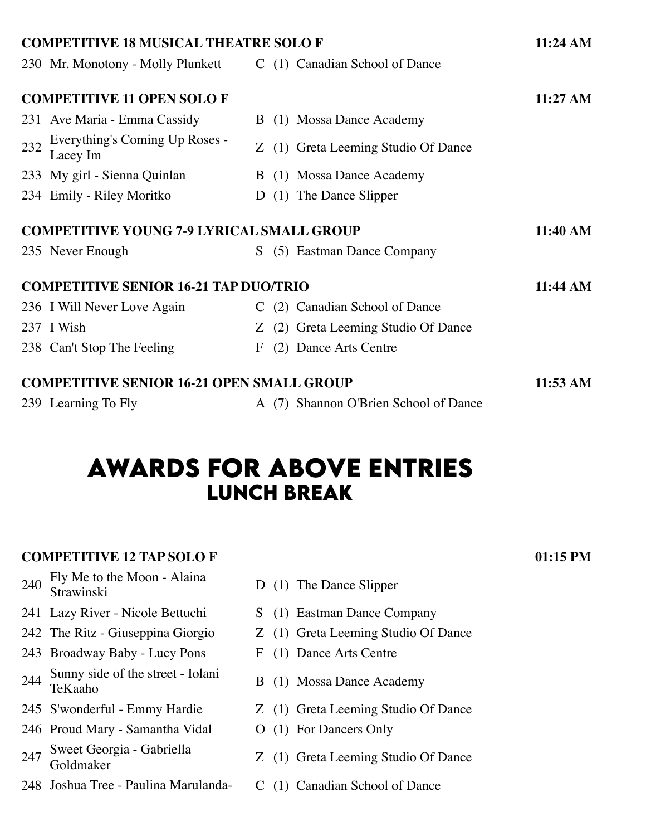|     | <b>COMPETITIVE 18 MUSICAL THEATRE SOLO F</b>                     |   |                                       | $11:24 \text{ AM}$ |
|-----|------------------------------------------------------------------|---|---------------------------------------|--------------------|
|     | 230 Mr. Monotony - Molly Plunkett C (1) Canadian School of Dance |   |                                       |                    |
|     | <b>COMPETITIVE 11 OPEN SOLO F</b>                                |   |                                       | 11:27 AM           |
|     | 231 Ave Maria - Emma Cassidy                                     |   | B (1) Mossa Dance Academy             |                    |
| 232 | Everything's Coming Up Roses -<br>Lacey Im                       |   | Z (1) Greta Leeming Studio Of Dance   |                    |
|     | 233 My girl - Sienna Quinlan                                     |   | B (1) Mossa Dance Academy             |                    |
|     | 234 Emily - Riley Moritko                                        | D | (1) The Dance Slipper                 |                    |
|     | <b>COMPETITIVE YOUNG 7-9 LYRICAL SMALL GROUP</b>                 |   |                                       | 11:40 AM           |
|     | 235 Never Enough                                                 |   | S (5) Eastman Dance Company           |                    |
|     | <b>COMPETITIVE SENIOR 16-21 TAP DUO/TRIO</b>                     |   |                                       | 11:44 AM           |
|     | 236 I Will Never Love Again                                      |   | C (2) Canadian School of Dance        |                    |
|     | 237 I Wish                                                       |   | Z (2) Greta Leeming Studio Of Dance   |                    |
|     | 238 Can't Stop The Feeling                                       | F | (2) Dance Arts Centre                 |                    |
|     | <b>COMPETITIVE SENIOR 16-21 OPEN SMALL GROUP</b>                 |   |                                       | 11:53 AM           |
|     | 239 Learning To Fly                                              |   | A (7) Shannon O'Brien School of Dance |                    |

## **awards for above entrIes lunch break**

### **COMPETITIVE 12 TAP SOLO F 01:15 PM**

- 240 Fly Me to the Moon Alaina<br>Strawinski
- 241 Lazy River Nicole Bettuchi S (1) Eastman Dance Company
- 
- 243 Broadway Baby Lucy Pons F (1) Dance Arts Centre
- 244 Sunny side of the street Iolani<br>TeKaaho
- 
- 246 Proud Mary Samantha Vidal O (1) For Dancers Only
- 247 Sweet Georgia Gabriella<br>Goldmaker
- 248 Joshua Tree Paulina Marulanda- C (1) Canadian School of Dance
- D (1) The Dance Slipper
- 
- 242 The Ritz Giuseppina Giorgio Z (1) Greta Leeming Studio Of Dance
	-
	- B (1) Mossa Dance Academy
- 245 S'wonderful Emmy Hardie Z (1) Greta Leeming Studio Of Dance
	-
	- Z (1) Greta Leeming Studio Of Dance
	-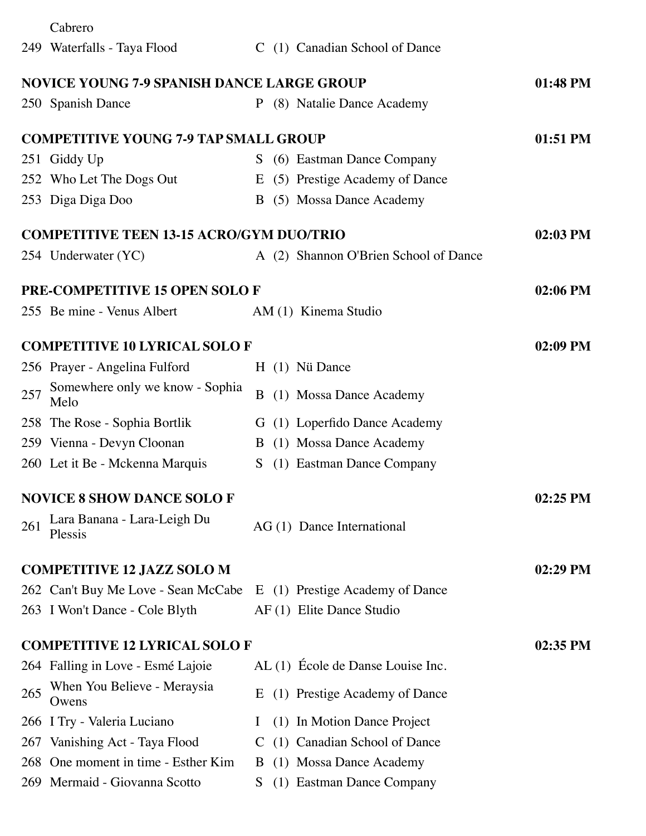|     | Cabrero                                           |          |                                       |            |
|-----|---------------------------------------------------|----------|---------------------------------------|------------|
|     | 249 Waterfalls - Taya Flood                       |          | C (1) Canadian School of Dance        |            |
|     | <b>NOVICE YOUNG 7-9 SPANISH DANCE LARGE GROUP</b> |          |                                       | 01:48 PM   |
|     | 250 Spanish Dance                                 |          | P (8) Natalie Dance Academy           |            |
|     | <b>COMPETITIVE YOUNG 7-9 TAP SMALL GROUP</b>      |          |                                       | 01:51 PM   |
|     | 251 Giddy Up                                      |          | S (6) Eastman Dance Company           |            |
|     | 252 Who Let The Dogs Out                          |          | E (5) Prestige Academy of Dance       |            |
|     | 253 Diga Diga Doo                                 |          | B (5) Mossa Dance Academy             |            |
|     | <b>COMPETITIVE TEEN 13-15 ACRO/GYM DUO/TRIO</b>   |          |                                       | 02:03 PM   |
|     | 254 Underwater (YC)                               |          | A (2) Shannon O'Brien School of Dance |            |
|     | <b>PRE-COMPETITIVE 15 OPEN SOLOF</b>              |          |                                       | 02:06 PM   |
|     | 255 Be mine - Venus Albert                        |          | AM (1) Kinema Studio                  |            |
|     | <b>COMPETITIVE 10 LYRICAL SOLO F</b>              |          |                                       | 02:09 PM   |
|     | 256 Prayer - Angelina Fulford                     |          | H (1) Nü Dance                        |            |
| 257 | Somewhere only we know - Sophia<br>Melo           | B        | (1) Mossa Dance Academy               |            |
|     | 258 The Rose - Sophia Bortlik                     |          | G (1) Loperfido Dance Academy         |            |
|     | 259 Vienna - Devyn Cloonan                        |          | B (1) Mossa Dance Academy             |            |
|     | 260 Let it Be - Mckenna Marquis                   | S.       | (1) Eastman Dance Company             |            |
|     | <b>NOVICE 8 SHOW DANCE SOLO F</b>                 |          |                                       | 02:25 PM   |
| 261 | Lara Banana - Lara-Leigh Du<br>Plessis            |          | AG (1) Dance International            |            |
|     | <b>COMPETITIVE 12 JAZZ SOLO M</b>                 |          |                                       | 02:29 PM   |
|     | 262 Can't Buy Me Love - Sean McCabe               |          | E (1) Prestige Academy of Dance       |            |
|     | 263 I Won't Dance - Cole Blyth                    |          | AF (1) Elite Dance Studio             |            |
|     | <b>COMPETITIVE 12 LYRICAL SOLO F</b>              |          |                                       | $02:35$ PM |
|     | 264 Falling in Love - Esmé Lajoie                 |          | AL (1) École de Danse Louise Inc.     |            |
| 265 | When You Believe - Meraysia<br>Owens              | E        | (1) Prestige Academy of Dance         |            |
|     | 266 I Try - Valeria Luciano                       | $\bf{l}$ | (1) In Motion Dance Project           |            |
| 267 | Vanishing Act - Taya Flood                        |          | C (1) Canadian School of Dance        |            |
| 268 | One moment in time - Esther Kim                   | B.       | (1) Mossa Dance Academy               |            |
| 269 | Mermaid - Giovanna Scotto                         | S        | (1) Eastman Dance Company             |            |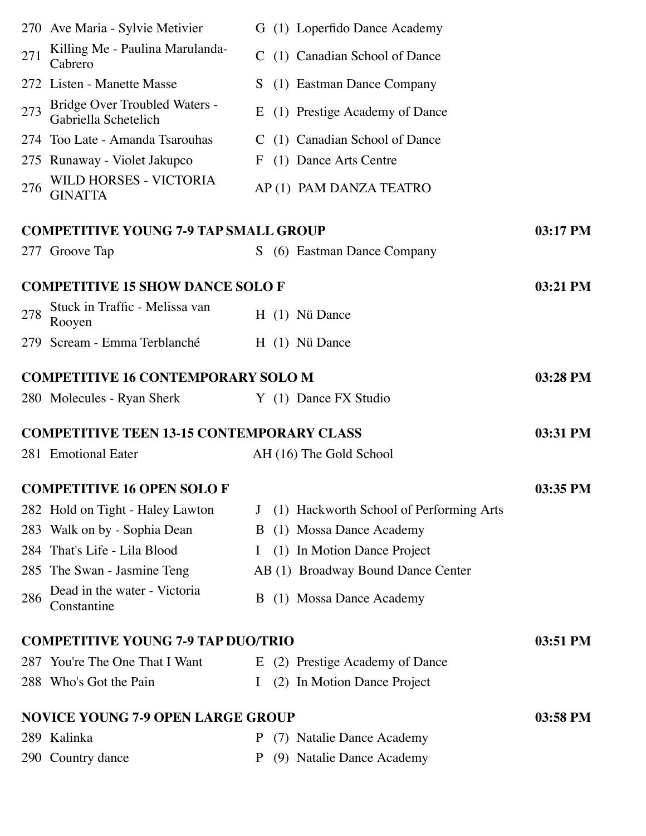|     | 270 Ave Maria - Sylvie Metivier                       |              | G (1) Loperfido Dance Academy           |            |
|-----|-------------------------------------------------------|--------------|-----------------------------------------|------------|
| 271 | Killing Me - Paulina Marulanda-<br>Cabrero            |              | C (1) Canadian School of Dance          |            |
|     | 272 Listen - Manette Masse                            | S.           | (1) Eastman Dance Company               |            |
| 273 | Bridge Over Troubled Waters -<br>Gabriella Schetelich |              | E (1) Prestige Academy of Dance         |            |
|     | 274 Too Late - Amanda Tsarouhas                       |              | C (1) Canadian School of Dance          |            |
|     | 275 Runaway - Violet Jakupco                          | $\mathbf{F}$ | (1) Dance Arts Centre                   |            |
| 276 | WILD HORSES - VICTORIA<br><b>GINATTA</b>              |              | AP (1) PAM DANZA TEATRO                 |            |
|     | <b>COMPETITIVE YOUNG 7-9 TAP SMALL GROUP</b>          |              |                                         | 03:17 PM   |
|     | 277 Groove Tap                                        |              | S (6) Eastman Dance Company             |            |
|     | <b>COMPETITIVE 15 SHOW DANCE SOLO F</b>               |              |                                         | 03:21 PM   |
| 278 | Stuck in Traffic - Melissa van<br>Rooyen              |              | H (1) Nü Dance                          |            |
|     | 279 Scream - Emma Terblanché                          |              | H (1) Nü Dance                          |            |
|     | <b>COMPETITIVE 16 CONTEMPORARY SOLO M</b>             |              |                                         | 03:28 PM   |
|     | 280 Molecules - Ryan Sherk                            |              | Y (1) Dance FX Studio                   |            |
|     | <b>COMPETITIVE TEEN 13-15 CONTEMPORARY CLASS</b>      |              |                                         | 03:31 PM   |
|     | 281 Emotional Eater                                   |              | AH (16) The Gold School                 |            |
|     |                                                       |              |                                         |            |
|     | <b>COMPETITIVE 16 OPEN SOLOF</b>                      |              |                                         | $03:35$ PM |
|     | 282 Hold on Tight - Haley Lawton                      | J            | (1) Hackworth School of Performing Arts |            |
|     | 283 Walk on by - Sophia Dean                          |              | B (1) Mossa Dance Academy               |            |
|     | 284 That's Life - Lila Blood                          | $\bf{I}$     | (1) In Motion Dance Project             |            |
|     | 285 The Swan - Jasmine Teng                           |              | AB (1) Broadway Bound Dance Center      |            |
| 286 | Dead in the water - Victoria<br>Constantine           |              | B (1) Mossa Dance Academy               |            |
|     | <b>COMPETITIVE YOUNG 7-9 TAP DUO/TRIO</b>             |              |                                         | 03:51 PM   |
|     | 287 You're The One That I Want                        |              | E (2) Prestige Academy of Dance         |            |
|     | 288 Who's Got the Pain                                | $\bf{I}$     | (2) In Motion Dance Project             |            |
|     | <b>NOVICE YOUNG 7-9 OPEN LARGE GROUP</b>              |              |                                         | 03:58 PM   |
|     | 289 Kalinka                                           | P            | (7) Natalie Dance Academy               |            |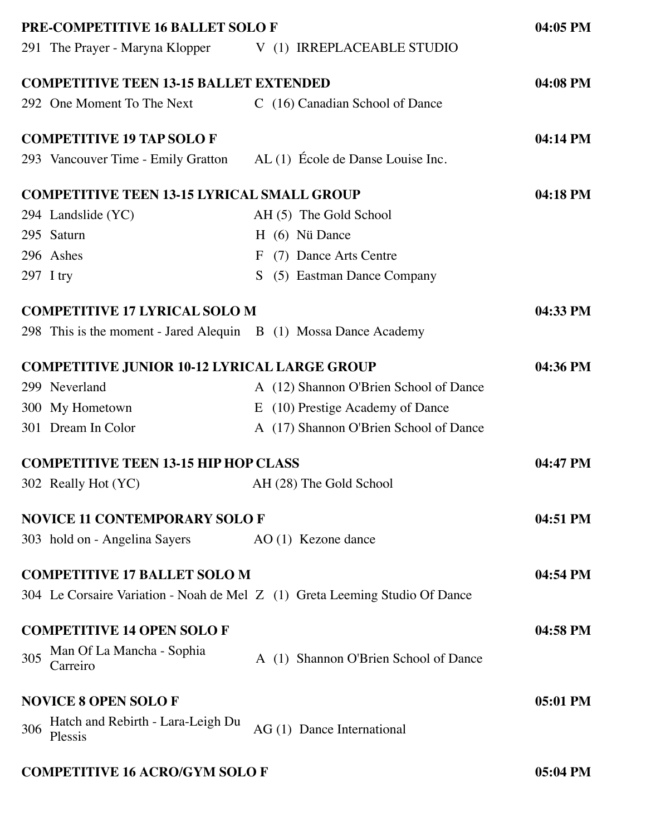|     | PRE-COMPETITIVE 16 BALLET SOLO F                                     |                                                                             | 04:05 PM |
|-----|----------------------------------------------------------------------|-----------------------------------------------------------------------------|----------|
|     |                                                                      | 291 The Prayer - Maryna Klopper V (1) IRREPLACEABLE STUDIO                  |          |
|     | <b>COMPETITIVE TEEN 13-15 BALLET EXTENDED</b>                        |                                                                             | 04:08 PM |
|     | 292 One Moment To The Next                                           | C (16) Canadian School of Dance                                             |          |
|     | <b>COMPETITIVE 19 TAP SOLO F</b>                                     |                                                                             | 04:14 PM |
|     | 293 Vancouver Time - Emily Gratton AL (1) École de Danse Louise Inc. |                                                                             |          |
|     | <b>COMPETITIVE TEEN 13-15 LYRICAL SMALL GROUP</b>                    |                                                                             | 04:18 PM |
|     | 294 Landslide (YC)                                                   | AH (5) The Gold School                                                      |          |
|     | 295 Saturn                                                           | H (6) Nü Dance                                                              |          |
|     | 296 Ashes                                                            | (7) Dance Arts Centre<br>F                                                  |          |
|     | 297 I try                                                            | (5) Eastman Dance Company<br>S.                                             |          |
|     | <b>COMPETITIVE 17 LYRICAL SOLO M</b>                                 |                                                                             | 04:33 PM |
|     | 298 This is the moment - Jared Alequin $B(1)$ Mossa Dance Academy    |                                                                             |          |
|     | <b>COMPETITIVE JUNIOR 10-12 LYRICAL LARGE GROUP</b>                  |                                                                             | 04:36 PM |
|     | 299 Neverland                                                        | A (12) Shannon O'Brien School of Dance                                      |          |
|     | 300 My Hometown                                                      | E (10) Prestige Academy of Dance                                            |          |
|     | 301 Dream In Color                                                   | A (17) Shannon O'Brien School of Dance                                      |          |
|     | <b>COMPETITIVE TEEN 13-15 HIP HOP CLASS</b>                          |                                                                             | 04:47 PM |
|     | 302 Really Hot (YC)                                                  | AH (28) The Gold School                                                     |          |
|     | <b>NOVICE 11 CONTEMPORARY SOLO F</b>                                 |                                                                             | 04:51 PM |
|     | 303 hold on - Angelina Sayers                                        | AO (1) Kezone dance                                                         |          |
|     | <b>COMPETITIVE 17 BALLET SOLO M</b>                                  |                                                                             | 04:54 PM |
|     |                                                                      | 304 Le Corsaire Variation - Noah de Mel Z (1) Greta Leeming Studio Of Dance |          |
|     | <b>COMPETITIVE 14 OPEN SOLOF</b>                                     |                                                                             | 04:58 PM |
| 305 | Man Of La Mancha - Sophia<br>Carreiro                                | A (1) Shannon O'Brien School of Dance                                       |          |
|     | <b>NOVICE 8 OPEN SOLO F</b>                                          |                                                                             | 05:01 PM |
| 306 | Hatch and Rebirth - Lara-Leigh Du<br>Plessis                         | AG (1) Dance International                                                  |          |
|     | <b>COMPETITIVE 16 ACRO/GYM SOLO F</b>                                |                                                                             | 05:04 PM |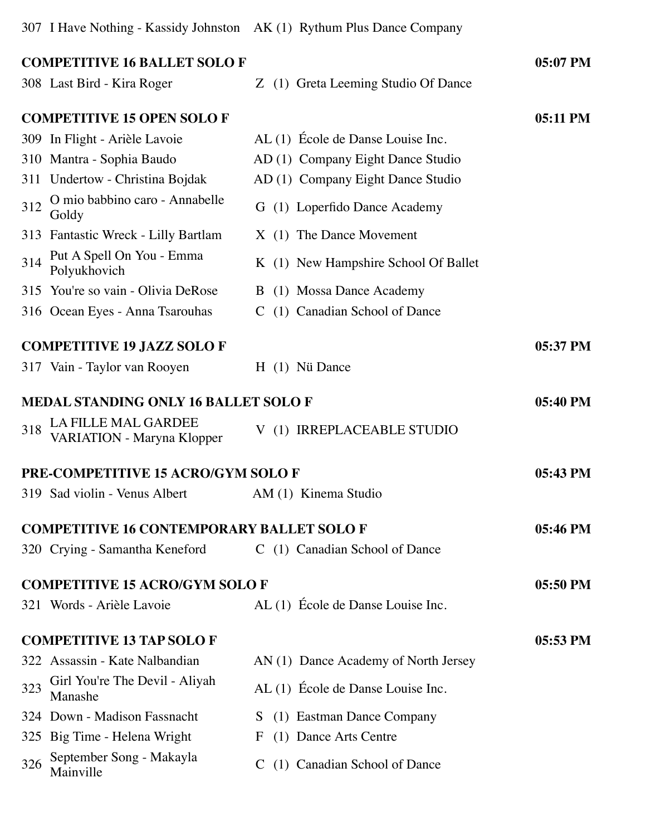307 I Have Nothing - Kassidy Johnston AK (1) Rythum Plus Dance Company

|     | <b>COMPETITIVE 16 BALLET SOLO F</b>                      |                                      | 05:07 PM |
|-----|----------------------------------------------------------|--------------------------------------|----------|
|     | 308 Last Bird - Kira Roger                               | Z (1) Greta Leeming Studio Of Dance  |          |
|     | <b>COMPETITIVE 15 OPEN SOLOF</b>                         |                                      | 05:11 PM |
|     | 309 In Flight - Arièle Lavoie                            | AL (1) École de Danse Louise Inc.    |          |
|     | 310 Mantra - Sophia Baudo                                | AD (1) Company Eight Dance Studio    |          |
|     | 311 Undertow - Christina Bojdak                          | AD (1) Company Eight Dance Studio    |          |
| 312 | O mio babbino caro - Annabelle<br>Goldy                  | G (1) Loperfido Dance Academy        |          |
|     | 313 Fantastic Wreck - Lilly Bartlam                      | $X(1)$ The Dance Movement            |          |
| 314 | Put A Spell On You - Emma<br>Polyukhovich                | K (1) New Hampshire School Of Ballet |          |
|     | 315 You're so vain - Olivia DeRose                       | B (1) Mossa Dance Academy            |          |
|     | 316 Ocean Eyes - Anna Tsarouhas                          | C (1) Canadian School of Dance       |          |
|     | <b>COMPETITIVE 19 JAZZ SOLOF</b>                         |                                      | 05:37 PM |
|     | 317 Vain - Taylor van Rooyen                             | H (1) Nü Dance                       |          |
|     |                                                          |                                      |          |
|     | <b>MEDAL STANDING ONLY 16 BALLET SOLO F</b>              |                                      | 05:40 PM |
| 318 | LA FILLE MAL GARDEE<br><b>VARIATION - Maryna Klopper</b> | V (1) IRREPLACEABLE STUDIO           |          |
|     | <b>PRE-COMPETITIVE 15 ACRO/GYM SOLO F</b>                |                                      | 05:43 PM |
|     | 319 Sad violin - Venus Albert                            | AM (1) Kinema Studio                 |          |
|     | <b>COMPETITIVE 16 CONTEMPORARY BALLET SOLO F</b>         |                                      | 05:46 PM |
|     | 320 Crying - Samantha Keneford                           | C (1) Canadian School of Dance       |          |
|     |                                                          |                                      |          |
|     | <b>COMPETITIVE 15 ACRO/GYM SOLO F</b>                    |                                      | 05:50 PM |
|     | 321 Words - Arièle Lavoie                                | AL (1) École de Danse Louise Inc.    |          |
|     | <b>COMPETITIVE 13 TAP SOLO F</b>                         |                                      | 05:53 PM |
|     | 322 Assassin - Kate Nalbandian                           | AN (1) Dance Academy of North Jersey |          |
| 323 | Girl You're The Devil - Aliyah<br>Manashe                | AL (1) École de Danse Louise Inc.    |          |
|     | 324 Down - Madison Fassnacht                             | S (1) Eastman Dance Company          |          |
|     | 325 Big Time - Helena Wright                             | (1) Dance Arts Centre<br>F           |          |
| 326 | September Song - Makayla<br>Mainville                    | (1) Canadian School of Dance<br>C    |          |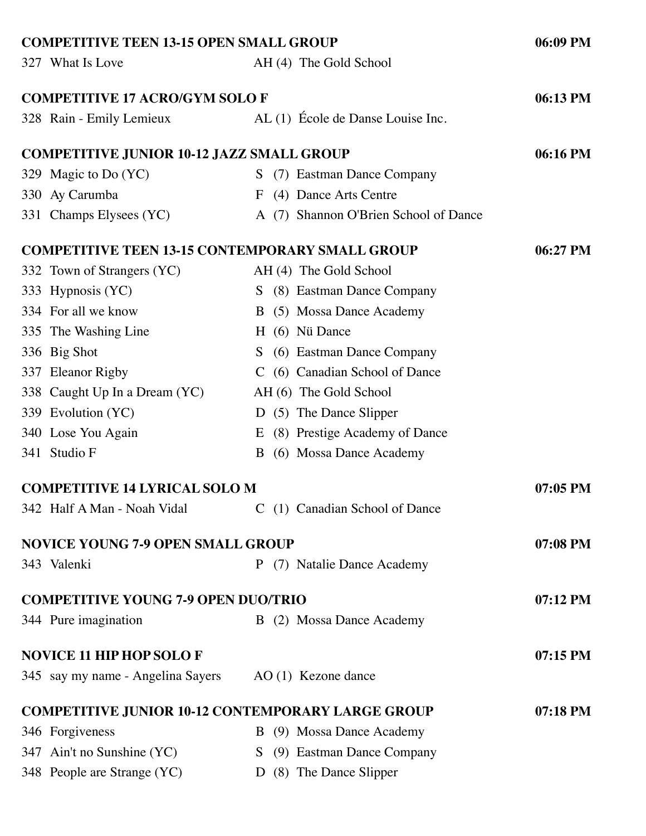| <b>COMPETITIVE TEEN 13-15 OPEN SMALL GROUP</b>         |                                                          | 06:09 PM   |
|--------------------------------------------------------|----------------------------------------------------------|------------|
| 327 What Is Love                                       | AH (4) The Gold School                                   |            |
| <b>COMPETITIVE 17 ACRO/GYM SOLO F</b>                  |                                                          | 06:13 PM   |
| 328 Rain - Emily Lemieux                               | AL (1) École de Danse Louise Inc.                        |            |
| <b>COMPETITIVE JUNIOR 10-12 JAZZ SMALL GROUP</b>       |                                                          | 06:16 PM   |
| 329 Magic to Do (YC)                                   | S (7) Eastman Dance Company                              |            |
| 330 Ay Carumba                                         | F (4) Dance Arts Centre                                  |            |
| 331 Champs Elysees (YC)                                | A (7) Shannon O'Brien School of Dance                    |            |
| <b>COMPETITIVE TEEN 13-15 CONTEMPORARY SMALL GROUP</b> |                                                          | 06:27 PM   |
| 332 Town of Strangers (YC)                             | AH (4) The Gold School                                   |            |
| 333 Hypnosis (YC)                                      | S (8) Eastman Dance Company                              |            |
| 334 For all we know                                    | B (5) Mossa Dance Academy                                |            |
| 335 The Washing Line                                   | H (6) Nü Dance                                           |            |
| 336 Big Shot                                           | S (6) Eastman Dance Company                              |            |
| 337 Eleanor Rigby                                      | C (6) Canadian School of Dance                           |            |
| 338 Caught Up In a Dream (YC)                          | AH (6) The Gold School                                   |            |
| 339 Evolution (YC)                                     | D (5) The Dance Slipper                                  |            |
| 340 Lose You Again                                     | E (8) Prestige Academy of Dance                          |            |
| 341 Studio F                                           | B (6) Mossa Dance Academy                                |            |
| <b>COMPETITIVE 14 LYRICAL SOLO M</b>                   |                                                          | $07:05$ PM |
| 342 Half A Man - Noah Vidal                            | C (1) Canadian School of Dance                           |            |
| <b>NOVICE YOUNG 7-9 OPEN SMALL GROUP</b>               |                                                          | 07:08 PM   |
| 343 Valenki                                            | P (7) Natalie Dance Academy                              |            |
| <b>COMPETITIVE YOUNG 7-9 OPEN DUO/TRIO</b>             |                                                          | $07:12$ PM |
| 344 Pure imagination                                   | B (2) Mossa Dance Academy                                |            |
| <b>NOVICE 11 HIP HOP SOLO F</b>                        |                                                          | 07:15 PM   |
| 345 say my name - Angelina Sayers                      | AO (1) Kezone dance                                      |            |
|                                                        | <b>COMPETITIVE JUNIOR 10-12 CONTEMPORARY LARGE GROUP</b> | 07:18 PM   |
| 346 Forgiveness                                        | B (9) Mossa Dance Academy                                |            |
| 347 Ain't no Sunshine (YC)                             | S (9) Eastman Dance Company                              |            |
| 348 People are Strange (YC)                            | D (8) The Dance Slipper                                  |            |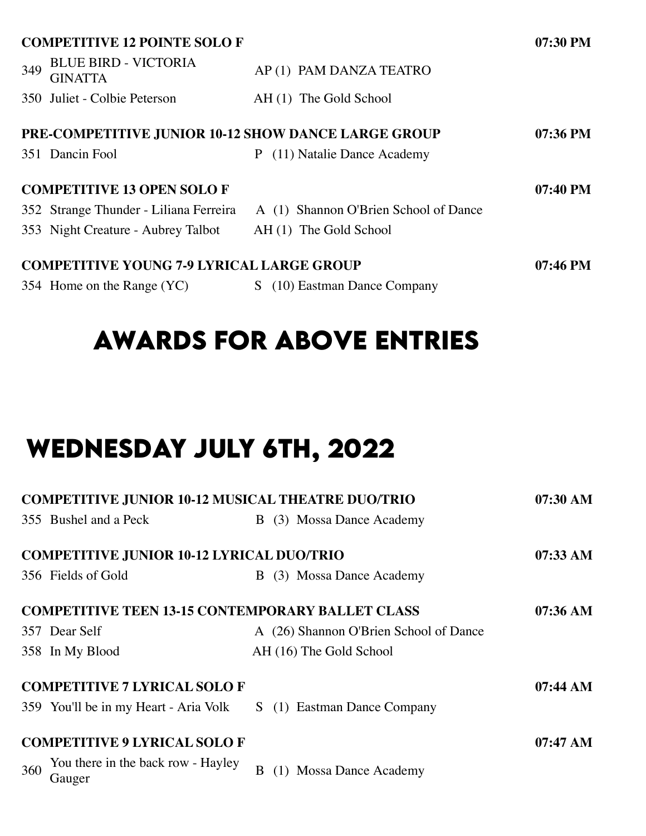|     | <b>COMPETITIVE 12 POINTE SOLO F</b>                        |                                       | $07:30$ PM |
|-----|------------------------------------------------------------|---------------------------------------|------------|
| 349 | <b>BLUE BIRD - VICTORIA</b><br><b>GINATTA</b>              | AP(1) PAM DANZA TEATRO                |            |
|     | 350 Juliet - Colbie Peterson                               | AH (1) The Gold School                |            |
|     | <b>PRE-COMPETITIVE JUNIOR 10-12 SHOW DANCE LARGE GROUP</b> |                                       | $07:36$ PM |
|     | 351 Dancin Fool                                            | (11) Natalie Dance Academy<br>P.      |            |
|     | <b>COMPETITIVE 13 OPEN SOLOF</b>                           |                                       | $07:40$ PM |
|     | 352 Strange Thunder - Liliana Ferreira                     | A (1) Shannon O'Brien School of Dance |            |
|     | 353 Night Creature - Aubrey Talbot                         | AH (1) The Gold School                |            |
|     | <b>COMPETITIVE YOUNG 7-9 LYRICAL LARGE GROUP</b>           | $07:46 \text{ PM}$                    |            |
|     | 354 Home on the Range (YC)                                 | (10) Eastman Dance Company<br>S.      |            |

# **awards for above entrIes**

# **wednesday july 6th, 2022**

|     | <b>COMPETITIVE JUNIOR 10-12 MUSICAL THEATRE DUO/TRIO</b> |                                        | $07:30$ AM         |
|-----|----------------------------------------------------------|----------------------------------------|--------------------|
|     | 355 Bushel and a Peck                                    | B (3) Mossa Dance Academy              |                    |
|     | <b>COMPETITIVE JUNIOR 10-12 LYRICAL DUO/TRIO</b>         |                                        | $07:33 \text{ AM}$ |
|     | 356 Fields of Gold                                       | (3) Mossa Dance Academy<br>B           |                    |
|     | <b>COMPETITIVE TEEN 13-15 CONTEMPORARY BALLET CLASS</b>  |                                        | $07:36 \text{ AM}$ |
|     | 357 Dear Self                                            | A (26) Shannon O'Brien School of Dance |                    |
|     | 358 In My Blood                                          | AH (16) The Gold School                |                    |
|     | <b>COMPETITIVE 7 LYRICAL SOLO F</b>                      |                                        | $07:44 \text{ AM}$ |
|     | 359 You'll be in my Heart - Aria Volk                    | S (1) Eastman Dance Company            |                    |
|     | <b>COMPETITIVE 9 LYRICAL SOLO F</b>                      |                                        | $07:47 \;AM$       |
| 360 | You there in the back row - Hayley<br>Gauger             | <b>Mossa Dance Academy</b><br>B        |                    |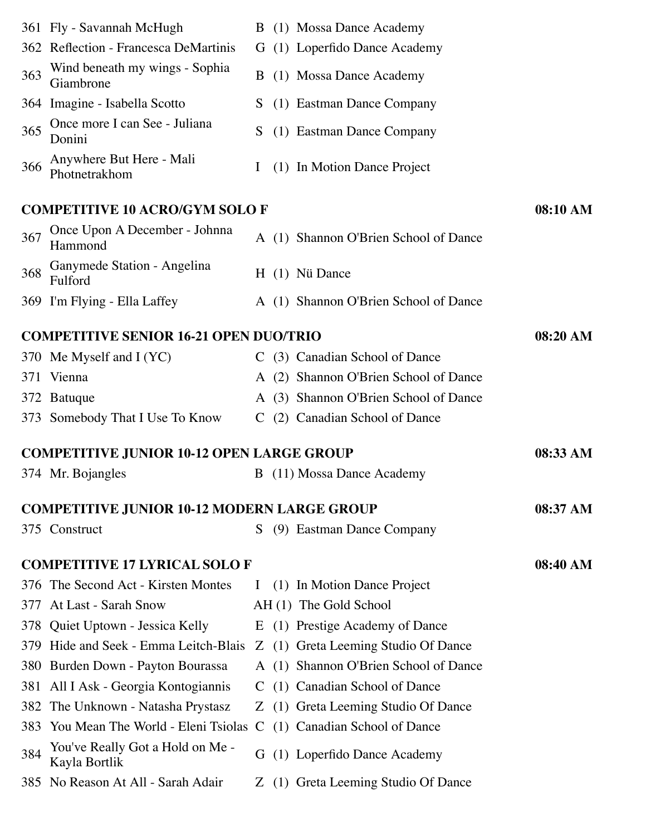|     | 361 Fly - Savannah McHugh                                         |               | B (1) Mossa Dance Academy             |          |
|-----|-------------------------------------------------------------------|---------------|---------------------------------------|----------|
|     | 362 Reflection - Francesca DeMartinis                             | G             | (1) Loperfido Dance Academy           |          |
| 363 | Wind beneath my wings - Sophia<br>Giambrone                       | B.            | (1) Mossa Dance Academy               |          |
|     | 364 Imagine - Isabella Scotto                                     | S.            | (1) Eastman Dance Company             |          |
| 365 | Once more I can See - Juliana<br>Donini                           | S             | (1) Eastman Dance Company             |          |
| 366 | Anywhere But Here - Mali<br>Photnetrakhom                         | $\bf{l}$      | (1) In Motion Dance Project           |          |
|     | <b>COMPETITIVE 10 ACRO/GYM SOLO F</b>                             |               |                                       | 08:10 AM |
| 367 | Once Upon A December - Johnna<br>Hammond                          |               | A (1) Shannon O'Brien School of Dance |          |
| 368 | Ganymede Station - Angelina<br>Fulford                            |               | H (1) Nü Dance                        |          |
|     | 369 I'm Flying - Ella Laffey                                      |               | A (1) Shannon O'Brien School of Dance |          |
|     | <b>COMPETITIVE SENIOR 16-21 OPEN DUO/TRIO</b>                     |               |                                       | 08:20 AM |
|     | 370 Me Myself and I (YC)                                          |               | C (3) Canadian School of Dance        |          |
| 371 | Vienna                                                            |               | A (2) Shannon O'Brien School of Dance |          |
|     | 372 Batuque                                                       | A             | (3) Shannon O'Brien School of Dance   |          |
|     | 373 Somebody That I Use To Know                                   | $\mathcal{C}$ | (2) Canadian School of Dance          |          |
|     | <b>COMPETITIVE JUNIOR 10-12 OPEN LARGE GROUP</b>                  |               |                                       | 08:33 AM |
|     | 374 Mr. Bojangles                                                 |               | B (11) Mossa Dance Academy            |          |
|     | <b>COMPETITIVE JUNIOR 10-12 MODERN LARGE GROUP</b>                |               |                                       | 08:37 AM |
|     | 375 Construct                                                     | S.            | (9) Eastman Dance Company             |          |
|     | <b>COMPETITIVE 17 LYRICAL SOLO F</b>                              |               |                                       | 08:40 AM |
| 376 | The Second Act - Kirsten Montes                                   | $\mathbf{I}$  | (1) In Motion Dance Project           |          |
| 377 | At Last - Sarah Snow                                              |               | AH (1) The Gold School                |          |
| 378 | Quiet Uptown - Jessica Kelly                                      |               | E (1) Prestige Academy of Dance       |          |
| 379 | Hide and Seek - Emma Leitch-Blais                                 |               | Z (1) Greta Leeming Studio Of Dance   |          |
|     | 380 Burden Down - Payton Bourassa                                 |               | A (1) Shannon O'Brien School of Dance |          |
| 381 | All I Ask - Georgia Kontogiannis                                  |               | C (1) Canadian School of Dance        |          |
| 382 | The Unknown - Natasha Prystasz                                    | Z             | (1) Greta Leeming Studio Of Dance     |          |
| 383 | You Mean The World - Eleni Tsiolas C (1) Canadian School of Dance |               |                                       |          |
|     | You've Really Got a Hold on Me -                                  | G             | (1) Loperfido Dance Academy           |          |
| 384 | Kayla Bortlik                                                     |               |                                       |          |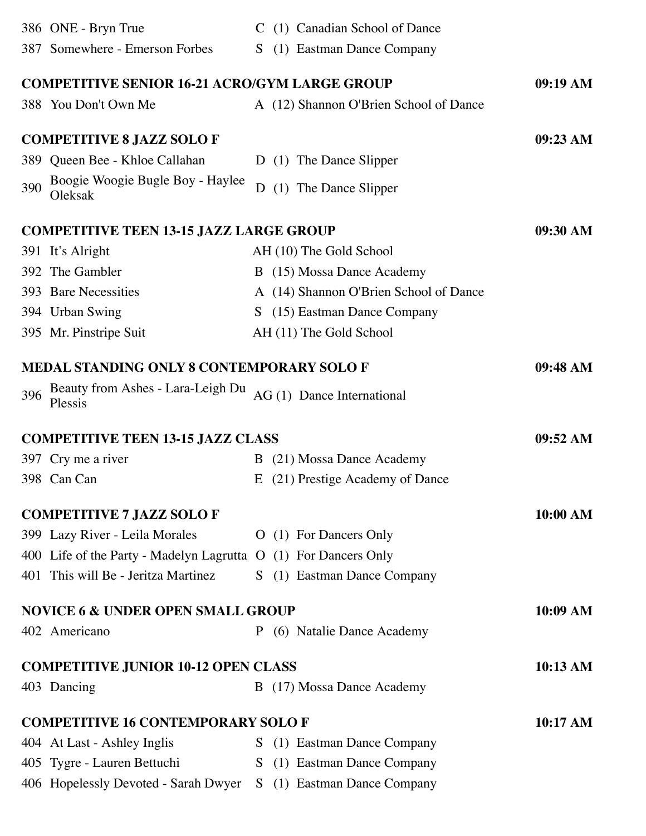|     | 386 ONE - Bryn True                                              |    | C (1) Canadian School of Dance         |            |
|-----|------------------------------------------------------------------|----|----------------------------------------|------------|
|     | 387 Somewhere - Emerson Forbes                                   | S. | (1) Eastman Dance Company              |            |
|     | <b>COMPETITIVE SENIOR 16-21 ACRO/GYM LARGE GROUP</b>             |    |                                        | 09:19 AM   |
|     | 388 You Don't Own Me                                             |    | A (12) Shannon O'Brien School of Dance |            |
|     | <b>COMPETITIVE 8 JAZZ SOLO F</b>                                 |    |                                        | 09:23 AM   |
|     | 389 Queen Bee - Khloe Callahan                                   |    | D (1) The Dance Slipper                |            |
| 390 | Boogie Woogie Bugle Boy - Haylee<br>Oleksak                      |    | D (1) The Dance Slipper                |            |
|     | <b>COMPETITIVE TEEN 13-15 JAZZ LARGE GROUP</b>                   |    |                                        | 09:30 AM   |
|     | 391 It's Alright                                                 |    | AH (10) The Gold School                |            |
|     | 392 The Gambler                                                  |    | B (15) Mossa Dance Academy             |            |
|     | 393 Bare Necessities                                             |    | A (14) Shannon O'Brien School of Dance |            |
|     | 394 Urban Swing                                                  | S. | (15) Eastman Dance Company             |            |
|     | 395 Mr. Pinstripe Suit                                           |    | AH (11) The Gold School                |            |
|     | <b>MEDAL STANDING ONLY 8 CONTEMPORARY SOLO F</b>                 |    |                                        | 09:48 AM   |
| 396 | Beauty from Ashes - Lara-Leigh Du<br>Plessis                     |    | AG (1) Dance International             |            |
|     | <b>COMPETITIVE TEEN 13-15 JAZZ CLASS</b>                         |    |                                        | 09:52 AM   |
|     | 397 Cry me a river                                               | B  | (21) Mossa Dance Academy               |            |
|     | 398 Can Can                                                      | Ε  | (21) Prestige Academy of Dance         |            |
|     | <b>COMPETITIVE 7 JAZZ SOLO F</b>                                 |    |                                        | 10:00 AM   |
|     | 399 Lazy River - Leila Morales                                   |    | O (1) For Dancers Only                 |            |
|     | 400 Life of the Party - Madelyn Lagrutta O (1) For Dancers Only  |    |                                        |            |
|     | 401 This will Be - Jeritza Martinez                              |    | S (1) Eastman Dance Company            |            |
|     | <b>NOVICE 6 &amp; UNDER OPEN SMALL GROUP</b>                     |    |                                        | 10:09 AM   |
|     | 402 Americano                                                    |    | P (6) Natalie Dance Academy            |            |
|     | <b>COMPETITIVE JUNIOR 10-12 OPEN CLASS</b>                       |    |                                        | 10:13 AM   |
|     | 403 Dancing                                                      |    | B (17) Mossa Dance Academy             |            |
|     | <b>COMPETITIVE 16 CONTEMPORARY SOLO F</b>                        |    |                                        | $10:17$ AM |
|     | 404 At Last - Ashley Inglis                                      |    | S (1) Eastman Dance Company            |            |
|     | 405 Tygre - Lauren Bettuchi                                      |    | S (1) Eastman Dance Company            |            |
|     | 406 Hopelessly Devoted - Sarah Dwyer S (1) Eastman Dance Company |    |                                        |            |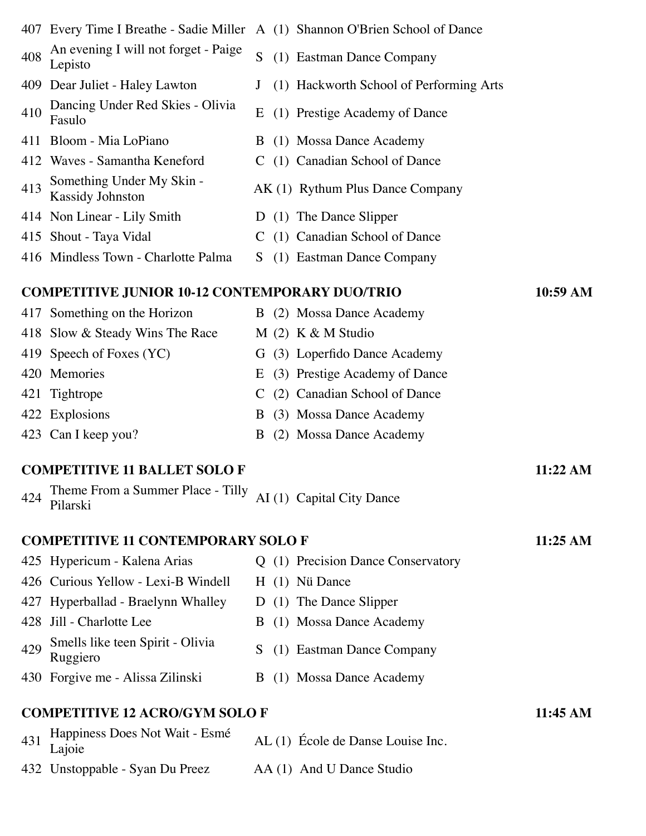|     | 407 Every Time I Breathe - Sadie Miller               |               | A (1) Shannon O'Brien School of Dance   |          |
|-----|-------------------------------------------------------|---------------|-----------------------------------------|----------|
| 408 | An evening I will not forget - Paige<br>Lepisto       | S             | (1) Eastman Dance Company               |          |
|     | 409 Dear Juliet - Haley Lawton                        |               | (1) Hackworth School of Performing Arts |          |
| 410 | Dancing Under Red Skies - Olivia<br>Fasulo            | E             | (1) Prestige Academy of Dance           |          |
|     | 411 Bloom - Mia LoPiano                               |               | B (1) Mossa Dance Academy               |          |
|     | 412 Waves - Samantha Keneford                         |               | C (1) Canadian School of Dance          |          |
| 413 | Something Under My Skin -<br><b>Kassidy Johnston</b>  |               | AK (1) Rythum Plus Dance Company        |          |
|     | 414 Non Linear - Lily Smith                           |               | D (1) The Dance Slipper                 |          |
|     | 415 Shout - Taya Vidal                                | $\mathcal{C}$ | (1) Canadian School of Dance            |          |
|     | 416 Mindless Town - Charlotte Palma                   | S             | (1) Eastman Dance Company               |          |
|     | <b>COMPETITIVE JUNIOR 10-12 CONTEMPORARY DUO/TRIO</b> |               |                                         | 10:59 AM |
|     | 417 Something on the Horizon                          |               | B (2) Mossa Dance Academy               |          |
|     | 418 Slow & Steady Wins The Race                       |               | $M(2)$ K & M Studio                     |          |
|     | 419 Speech of Foxes (YC)                              |               | G (3) Loperfido Dance Academy           |          |
| 420 | Memories                                              | Ε             | (3) Prestige Academy of Dance           |          |
| 421 | Tightrope                                             | C             | (2) Canadian School of Dance            |          |
|     | 422 Explosions                                        | B             | (3) Mossa Dance Academy                 |          |
|     | 423 Can I keep you?                                   | B             | (2) Mossa Dance Academy                 |          |
|     | <b>COMPETITIVE 11 BALLET SOLO F</b>                   |               |                                         | 11:22 AM |
| 424 | Theme From a Summer Place - Tilly<br>Pilarski         |               | AI (1) Capital City Dance               |          |
|     | <b>COMPETITIVE 11 CONTEMPORARY SOLO F</b>             |               |                                         | 11:25 AM |
|     | 425 Hypericum - Kalena Arias                          |               | Q (1) Precision Dance Conservatory      |          |
|     | 426 Curious Yellow - Lexi-B Windell                   |               | H (1) Nü Dance                          |          |
| 427 | Hyperballad - Braelynn Whalley                        |               | D (1) The Dance Slipper                 |          |
|     | 428 Jill - Charlotte Lee                              |               | B (1) Mossa Dance Academy               |          |
| 429 | Smells like teen Spirit - Olivia<br>Ruggiero          | S             | (1) Eastman Dance Company               |          |
|     | 430 Forgive me - Alissa Zilinski                      |               | B (1) Mossa Dance Academy               |          |
|     | <b>COMPETITIVE 12 ACRO/GYM SOLO F</b>                 |               |                                         | 11:45 AM |
| 431 | Happiness Does Not Wait - Esmé<br>Lajoie              |               | AL (1) École de Danse Louise Inc.       |          |
|     | 432 Unstoppable - Syan Du Preez                       |               | AA (1) And U Dance Studio               |          |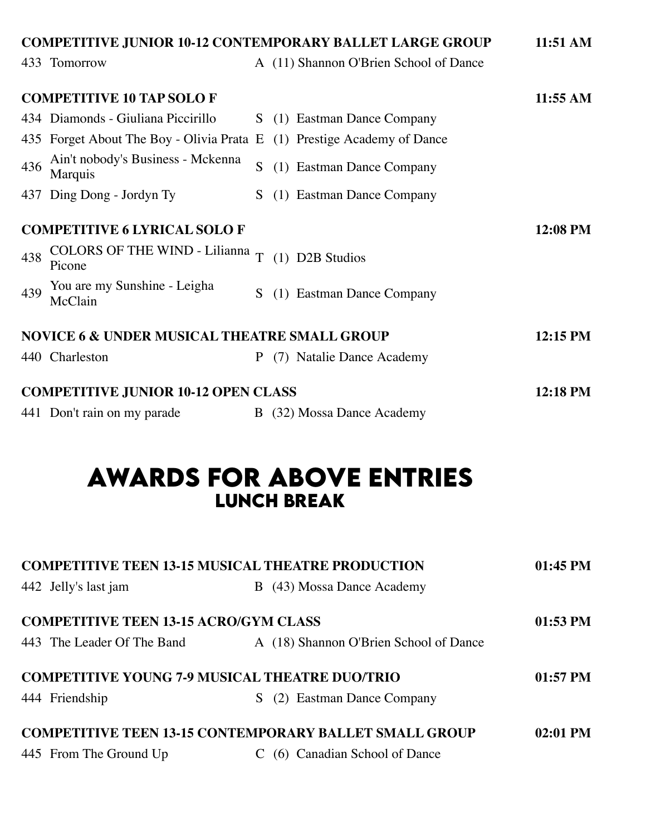| <b>COMPETITIVE JUNIOR 10-12 CONTEMPORARY BALLET LARGE GROUP</b> |                                                                         |    |                                        |            |  |
|-----------------------------------------------------------------|-------------------------------------------------------------------------|----|----------------------------------------|------------|--|
|                                                                 | 433 Tomorrow                                                            |    | A (11) Shannon O'Brien School of Dance |            |  |
|                                                                 | <b>COMPETITIVE 10 TAP SOLO F</b>                                        |    |                                        | 11:55 AM   |  |
|                                                                 | 434 Diamonds - Giuliana Piccirillo                                      | S. | (1) Eastman Dance Company              |            |  |
|                                                                 | 435 Forget About The Boy - Olivia Prata E (1) Prestige Academy of Dance |    |                                        |            |  |
| 436                                                             | Ain't nobody's Business - Mckenna<br>Marquis                            | S  | (1) Eastman Dance Company              |            |  |
|                                                                 | 437 Ding Dong - Jordyn Ty                                               | S. | (1) Eastman Dance Company              |            |  |
|                                                                 | <b>COMPETITIVE 6 LYRICAL SOLO F</b>                                     |    |                                        | 12:08 PM   |  |
| 438                                                             | <b>COLORS OF THE WIND - Lilianna</b><br>Picone                          | T  | (1) D2B Studios                        |            |  |
| 439                                                             | You are my Sunshine - Leigha<br>McClain                                 | S. | (1) Eastman Dance Company              |            |  |
|                                                                 | <b>NOVICE 6 &amp; UNDER MUSICAL THEATRE SMALL GROUP</b>                 |    |                                        | $12:15$ PM |  |
|                                                                 | 440 Charleston                                                          | P  | (7) Natalie Dance Academy              |            |  |
|                                                                 | <b>COMPETITIVE JUNIOR 10-12 OPEN CLASS</b>                              |    |                                        | 12:18 PM   |  |
|                                                                 | 441 Don't rain on my parade                                             |    | B (32) Mossa Dance Academy             |            |  |

## **awards for above entrIes lunch break**

| <b>COMPETITIVE TEEN 13-15 MUSICAL THEATRE PRODUCTION</b> | 01:45 PM                                                      |            |
|----------------------------------------------------------|---------------------------------------------------------------|------------|
| 442 Jelly's last jam                                     | B (43) Mossa Dance Academy                                    |            |
| <b>COMPETITIVE TEEN 13-15 ACRO/GYM CLASS</b>             |                                                               | $01:53$ PM |
| 443 The Leader Of The Band                               | A (18) Shannon O'Brien School of Dance                        |            |
|                                                          | <b>COMPETITIVE YOUNG 7-9 MUSICAL THEATRE DUO/TRIO</b>         | $01:57$ PM |
| 444 Friendship                                           | S (2) Eastman Dance Company                                   |            |
|                                                          | <b>COMPETITIVE TEEN 13-15 CONTEMPORARY BALLET SMALL GROUP</b> | 02:01 PM   |
| 445 From The Ground Up                                   | (6) Canadian School of Dance                                  |            |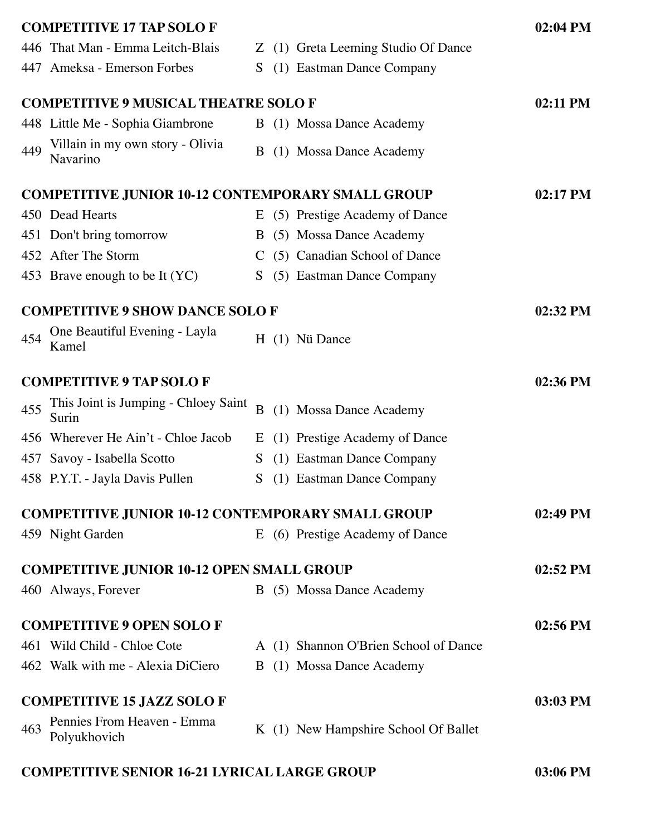|     | <b>COMPETITIVE 17 TAP SOLO F</b>                         |    |                                       | 02:04 PM   |
|-----|----------------------------------------------------------|----|---------------------------------------|------------|
|     | 446 That Man - Emma Leitch-Blais                         | Z  | (1) Greta Leeming Studio Of Dance     |            |
|     | 447 Ameksa - Emerson Forbes                              | S  | (1) Eastman Dance Company             |            |
|     | <b>COMPETITIVE 9 MUSICAL THEATRE SOLO F</b>              |    |                                       | 02:11 PM   |
|     | 448 Little Me - Sophia Giambrone                         |    | B (1) Mossa Dance Academy             |            |
| 449 | Villain in my own story - Olivia<br>Navarino             |    | B (1) Mossa Dance Academy             |            |
|     | <b>COMPETITIVE JUNIOR 10-12 CONTEMPORARY SMALL GROUP</b> |    |                                       | 02:17 PM   |
|     | 450 Dead Hearts                                          |    | E (5) Prestige Academy of Dance       |            |
|     | 451 Don't bring tomorrow                                 |    | B (5) Mossa Dance Academy             |            |
|     | 452 After The Storm                                      | C. | (5) Canadian School of Dance          |            |
|     | 453 Brave enough to be It (YC)                           | S  | (5) Eastman Dance Company             |            |
|     | <b>COMPETITIVE 9 SHOW DANCE SOLO F</b>                   |    |                                       | 02:32 PM   |
| 454 | One Beautiful Evening - Layla<br>Kamel                   |    | H (1) Nü Dance                        |            |
|     | <b>COMPETITIVE 9 TAP SOLO F</b>                          |    |                                       | 02:36 PM   |
| 455 | This Joint is Jumping - Chloey Saint<br>Surin            | B  | (1) Mossa Dance Academy               |            |
| 456 | Wherever He Ain't - Chloe Jacob                          | E  | (1) Prestige Academy of Dance         |            |
| 457 | Savoy - Isabella Scotto                                  | S  | (1) Eastman Dance Company             |            |
|     | 458 P.Y.T. - Jayla Davis Pullen                          | S  | (1) Eastman Dance Company             |            |
|     | <b>COMPETITIVE JUNIOR 10-12 CONTEMPORARY SMALL GROUP</b> |    |                                       | $02:49$ PM |
|     | 459 Night Garden                                         |    | E (6) Prestige Academy of Dance       |            |
|     | <b>COMPETITIVE JUNIOR 10-12 OPEN SMALL GROUP</b>         |    |                                       | 02:52 PM   |
|     | 460 Always, Forever                                      |    | B (5) Mossa Dance Academy             |            |
|     | <b>COMPETITIVE 9 OPEN SOLO F</b>                         |    |                                       | 02:56 PM   |
|     | 461 Wild Child - Chloe Cote                              |    | A (1) Shannon O'Brien School of Dance |            |
|     | 462 Walk with me - Alexia DiCiero                        |    | B (1) Mossa Dance Academy             |            |
|     | <b>COMPETITIVE 15 JAZZ SOLO F</b>                        |    |                                       | 03:03 PM   |
| 463 | Pennies From Heaven - Emma<br>Polyukhovich               |    | K (1) New Hampshire School Of Ballet  |            |
|     | <b>COMPETITIVE SENIOR 16-21 LYRICAL LARGE GROUP</b>      |    |                                       | 03:06 PM   |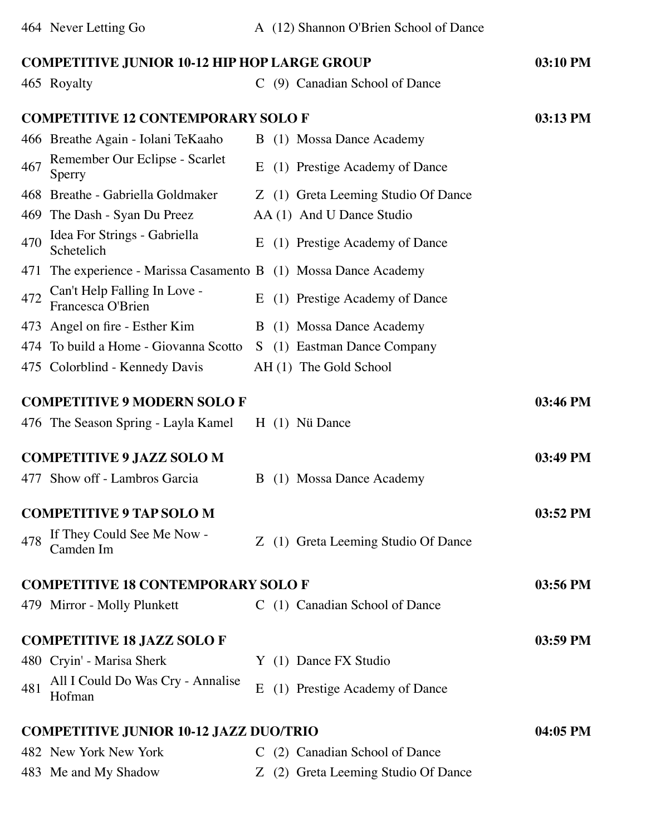| <b>COMPETITIVE JUNIOR 10-12 HIP HOP LARGE GROUP</b>                 |                                                  | 03:10 PM |
|---------------------------------------------------------------------|--------------------------------------------------|----------|
| 465 Royalty                                                         | C (9) Canadian School of Dance                   |          |
| <b>COMPETITIVE 12 CONTEMPORARY SOLO F</b>                           |                                                  | 03:13 PM |
| 466 Breathe Again - Iolani TeKaaho                                  | B (1) Mossa Dance Academy                        |          |
| Remember Our Eclipse - Scarlet<br>467<br>Sperry                     | (1) Prestige Academy of Dance<br>E               |          |
| 468 Breathe - Gabriella Goldmaker                                   | Z (1) Greta Leeming Studio Of Dance              |          |
| The Dash - Syan Du Preez<br>469                                     | AA (1) And U Dance Studio                        |          |
| Idea For Strings - Gabriella<br>470<br>Schetelich                   | (1) Prestige Academy of Dance<br>E               |          |
| The experience - Marissa Casamento B (1) Mossa Dance Academy<br>471 |                                                  |          |
| Can't Help Falling In Love -<br>472<br>Francesca O'Brien            | (1) Prestige Academy of Dance<br>$E_{\parallel}$ |          |
| 473 Angel on fire - Esther Kim                                      | B (1) Mossa Dance Academy                        |          |
| 474 To build a Home - Giovanna Scotto                               | S (1) Eastman Dance Company                      |          |
| 475 Colorblind - Kennedy Davis                                      | AH (1) The Gold School                           |          |
| <b>COMPETITIVE 9 MODERN SOLO F</b>                                  | $H(1)$ Nü Dance                                  | 03:46 PM |
| 476 The Season Spring - Layla Kamel                                 |                                                  |          |
| <b>COMPETITIVE 9 JAZZ SOLO M</b>                                    |                                                  | 03:49 PM |
| 477 Show off - Lambros Garcia                                       | B (1) Mossa Dance Academy                        |          |
|                                                                     |                                                  |          |
| <b>COMPETITIVE 9 TAP SOLO M</b>                                     |                                                  | 03:52 PM |
| If They Could See Me Now -<br>478<br>Camden Im                      | Z (1) Greta Leeming Studio Of Dance              |          |
| <b>COMPETITIVE 18 CONTEMPORARY SOLO F</b>                           |                                                  | 03:56 PM |
| 479 Mirror - Molly Plunkett                                         | C (1) Canadian School of Dance                   |          |
| <b>COMPETITIVE 18 JAZZ SOLO F</b>                                   |                                                  | 03:59 PM |
| 480 Cryin' - Marisa Sherk                                           | Y (1) Dance FX Studio                            |          |
| All I Could Do Was Cry - Annalise<br>481<br>Hofman                  | (1) Prestige Academy of Dance<br>E               |          |
| <b>COMPETITIVE JUNIOR 10-12 JAZZ DUO/TRIO</b>                       |                                                  | 04:05 PM |
| 482 New York New York                                               | C (2) Canadian School of Dance                   |          |
| 483 Me and My Shadow                                                | Z (2) Greta Leeming Studio Of Dance              |          |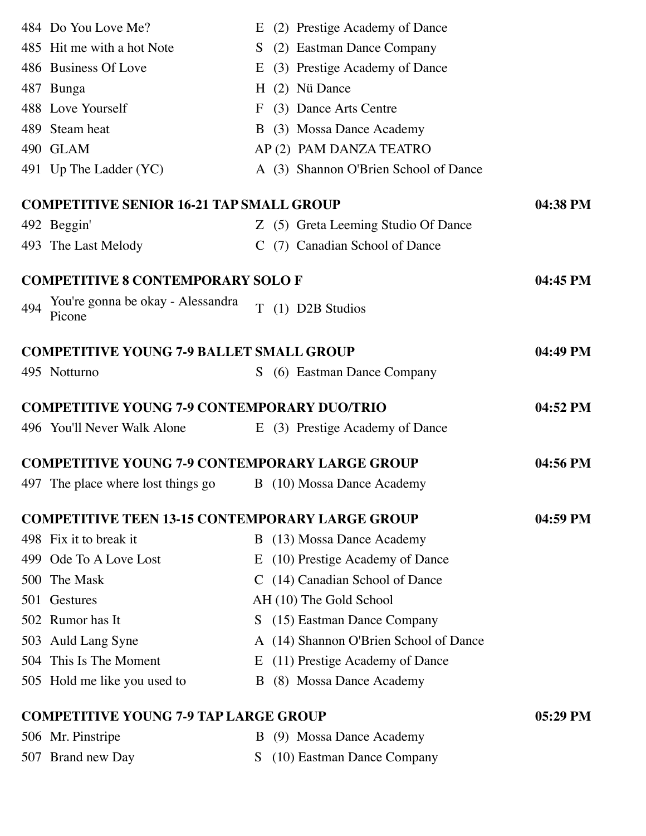|     | 484 Do You Love Me?                                    | E  | (2) Prestige Academy of Dance          |            |
|-----|--------------------------------------------------------|----|----------------------------------------|------------|
|     | 485 Hit me with a hot Note                             | S  | (2) Eastman Dance Company              |            |
|     | 486 Business Of Love                                   | E  | (3) Prestige Academy of Dance          |            |
|     | 487 Bunga                                              |    | H (2) Nü Dance                         |            |
|     | 488 Love Yourself                                      | F  | (3) Dance Arts Centre                  |            |
|     | 489 Steam heat                                         |    | B (3) Mossa Dance Academy              |            |
|     | 490 GLAM                                               |    | AP (2) PAM DANZA TEATRO                |            |
|     | 491 Up The Ladder (YC)                                 |    | A (3) Shannon O'Brien School of Dance  |            |
|     | <b>COMPETITIVE SENIOR 16-21 TAP SMALL GROUP</b>        |    |                                        | 04:38 PM   |
|     | 492 Beggin'                                            |    | Z (5) Greta Leeming Studio Of Dance    |            |
|     | 493 The Last Melody                                    |    | C (7) Canadian School of Dance         |            |
|     | <b>COMPETITIVE 8 CONTEMPORARY SOLO F</b>               |    |                                        | 04:45 PM   |
| 494 | You're gonna be okay - Alessandra<br>Picone            | T  | (1) D2B Studios                        |            |
|     | <b>COMPETITIVE YOUNG 7-9 BALLET SMALL GROUP</b>        |    |                                        | 04:49 PM   |
|     | 495 Notturno                                           | S. | (6) Eastman Dance Company              |            |
|     |                                                        |    |                                        |            |
|     | <b>COMPETITIVE YOUNG 7-9 CONTEMPORARY DUO/TRIO</b>     |    |                                        | 04:52 PM   |
|     | 496 You'll Never Walk Alone                            |    | E (3) Prestige Academy of Dance        |            |
|     | <b>COMPETITIVE YOUNG 7-9 CONTEMPORARY LARGE GROUP</b>  |    |                                        | 04:56 PM   |
|     | 497 The place where lost things go                     |    | B (10) Mossa Dance Academy             |            |
|     | <b>COMPETITIVE TEEN 13-15 CONTEMPORARY LARGE GROUP</b> |    |                                        | 04:59 PM   |
|     | 498 Fix it to break it                                 |    | B (13) Mossa Dance Academy             |            |
|     | 499 Ode To A Love Lost                                 |    | E (10) Prestige Academy of Dance       |            |
|     | 500 The Mask                                           |    | C (14) Canadian School of Dance        |            |
|     | 501 Gestures                                           |    | AH (10) The Gold School                |            |
|     | 502 Rumor has It                                       |    | S (15) Eastman Dance Company           |            |
|     | 503 Auld Lang Syne                                     |    | A (14) Shannon O'Brien School of Dance |            |
|     | 504 This Is The Moment                                 |    | E (11) Prestige Academy of Dance       |            |
|     | 505 Hold me like you used to                           |    | B (8) Mossa Dance Academy              |            |
|     | <b>COMPETITIVE YOUNG 7-9 TAP LARGE GROUP</b>           |    |                                        | $05:29$ PM |
|     | 506 Mr. Pinstripe                                      |    | B (9) Mossa Dance Academy              |            |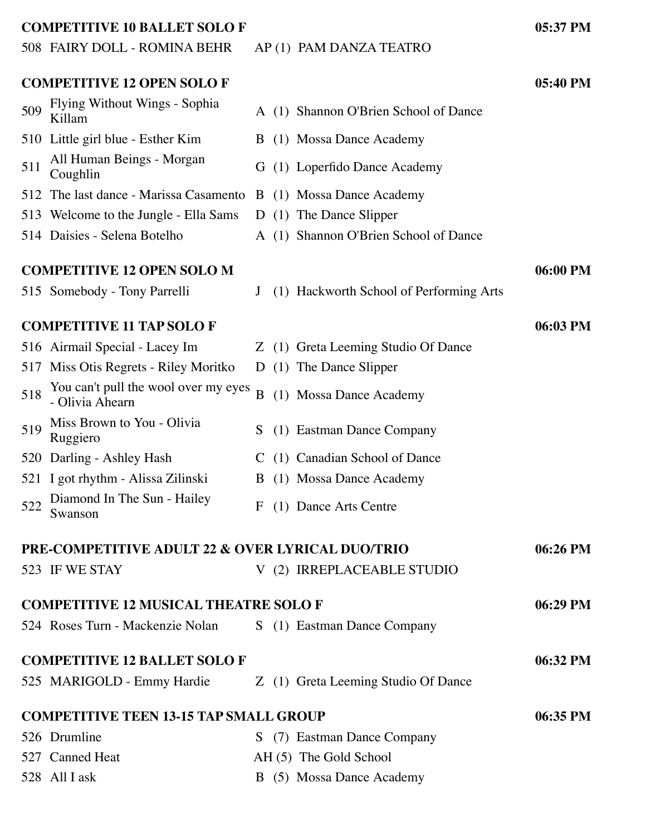#### **COMPETITIVE 10 BALLET SOLO F 05:37 PM**

#### 508 FAIRY DOLL - ROMINA BEHR AP (1) PAM DANZA TEATRO

|     | <b>COMPETITIVE 12 OPEN SOLO F</b>                            |   |                                         | 05:40 PM |
|-----|--------------------------------------------------------------|---|-----------------------------------------|----------|
| 509 | Flying Without Wings - Sophia<br>Killam                      |   | A (1) Shannon O'Brien School of Dance   |          |
|     | 510 Little girl blue - Esther Kim                            | B | (1) Mossa Dance Academy                 |          |
| 511 | All Human Beings - Morgan<br>Coughlin                        |   | G (1) Loperfido Dance Academy           |          |
| 512 | The last dance - Marissa Casamento B (1) Mossa Dance Academy |   |                                         |          |
|     | 513 Welcome to the Jungle - Ella Sams                        |   | D (1) The Dance Slipper                 |          |
|     | 514 Daisies - Selena Botelho                                 |   | A (1) Shannon O'Brien School of Dance   |          |
|     | <b>COMPETITIVE 12 OPEN SOLO M</b>                            |   |                                         | 06:00 PM |
|     | 515 Somebody - Tony Parrelli                                 | J | (1) Hackworth School of Performing Arts |          |
|     | <b>COMPETITIVE 11 TAP SOLO F</b>                             |   |                                         | 06:03 PM |
|     | 516 Airmail Special - Lacey Im                               |   | Z (1) Greta Leeming Studio Of Dance     |          |
|     | 517 Miss Otis Regrets - Riley Moritko                        | D | (1) The Dance Slipper                   |          |
| 518 | You can't pull the wool over my eyes<br>- Olivia Ahearn      | B | (1) Mossa Dance Academy                 |          |
| 519 | Miss Brown to You - Olivia<br>Ruggiero                       | S | (1) Eastman Dance Company               |          |
|     | 520 Darling - Ashley Hash                                    |   | C (1) Canadian School of Dance          |          |
|     | 521 I got rhythm - Alissa Zilinski                           | B | (1) Mossa Dance Academy                 |          |
| 522 | Diamond In The Sun - Hailey<br>Swanson                       | F | (1) Dance Arts Centre                   |          |
|     | <b>PRE-COMPETITIVE ADULT 22 &amp; OVER LYRICAL DUO/TRIO</b>  |   |                                         | 06:26 PM |
|     | 523 IF WE STAY                                               |   | V (2) IRREPLACEABLE STUDIO              |          |
|     | <b>COMPETITIVE 12 MUSICAL THEATRE SOLO F</b>                 |   |                                         | 06:29 PM |
|     | 524 Roses Turn - Mackenzie Nolan                             |   | S (1) Eastman Dance Company             |          |
|     | <b>COMPETITIVE 12 BALLET SOLO F</b>                          |   |                                         | 06:32 PM |
|     | 525 MARIGOLD - Emmy Hardie                                   |   | Z (1) Greta Leeming Studio Of Dance     |          |
|     | <b>COMPETITIVE TEEN 13-15 TAP SMALL GROUP</b>                |   |                                         | 06:35 PM |
|     | 526 Drumline                                                 |   | S (7) Eastman Dance Company             |          |
|     | 527 Canned Heat                                              |   | AH (5) The Gold School                  |          |
|     | 528 All I ask                                                |   | B (5) Mossa Dance Academy               |          |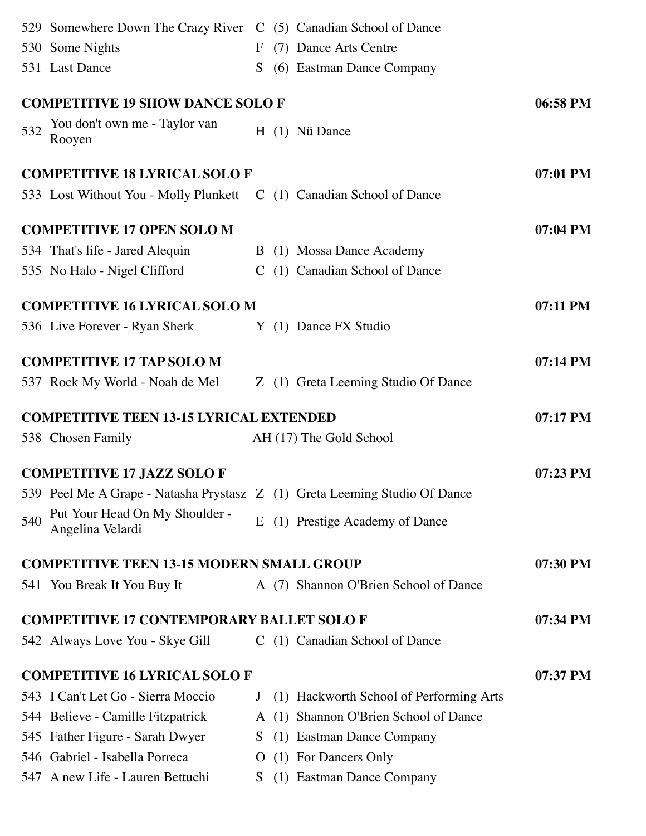|     | 529 Somewhere Down The Crazy River C (5) Canadian School of Dance          |              |                                         |            |
|-----|----------------------------------------------------------------------------|--------------|-----------------------------------------|------------|
|     | 530 Some Nights                                                            |              | F (7) Dance Arts Centre                 |            |
|     | 531 Last Dance                                                             |              | S (6) Eastman Dance Company             |            |
|     | <b>COMPETITIVE 19 SHOW DANCE SOLO F</b>                                    |              |                                         | 06:58 PM   |
| 532 | You don't own me - Taylor van<br>Rooyen                                    |              | H (1) Nü Dance                          |            |
|     | <b>COMPETITIVE 18 LYRICAL SOLO F</b>                                       |              |                                         | 07:01 PM   |
|     | 533 Lost Without You - Molly Plunkett C (1) Canadian School of Dance       |              |                                         |            |
|     | <b>COMPETITIVE 17 OPEN SOLO M</b>                                          |              |                                         | $07:04$ PM |
|     | 534 That's life - Jared Alequin                                            |              | B (1) Mossa Dance Academy               |            |
|     | 535 No Halo - Nigel Clifford                                               |              | C (1) Canadian School of Dance          |            |
|     | <b>COMPETITIVE 16 LYRICAL SOLO M</b>                                       |              |                                         | 07:11 PM   |
|     | 536 Live Forever - Ryan Sherk Y (1) Dance FX Studio                        |              |                                         |            |
|     | <b>COMPETITIVE 17 TAP SOLO M</b>                                           |              |                                         | 07:14 PM   |
|     | 537 Rock My World - Noah de Mel                                            |              | Z (1) Greta Leeming Studio Of Dance     |            |
|     | <b>COMPETITIVE TEEN 13-15 LYRICAL EXTENDED</b>                             |              |                                         | 07:17 PM   |
|     | 538 Chosen Family                                                          |              | AH (17) The Gold School                 |            |
|     |                                                                            |              |                                         |            |
|     | <b>COMPETITIVE 17 JAZZ SOLO F</b>                                          |              |                                         | 07:23 PM   |
|     | 539 Peel Me A Grape - Natasha Prystasz Z (1) Greta Leeming Studio Of Dance |              |                                         |            |
| 540 | Put Your Head On My Shoulder -<br>Angelina Velardi                         | E            | (1) Prestige Academy of Dance           |            |
|     | <b>COMPETITIVE TEEN 13-15 MODERN SMALL GROUP</b>                           |              |                                         | 07:30 PM   |
|     | 541 You Break It You Buy It                                                |              | A (7) Shannon O'Brien School of Dance   |            |
|     | <b>COMPETITIVE 17 CONTEMPORARY BALLET SOLO F</b>                           |              |                                         | 07:34 PM   |
|     | 542 Always Love You - Skye Gill                                            |              | C (1) Canadian School of Dance          |            |
|     | <b>COMPETITIVE 16 LYRICAL SOLO F</b>                                       |              |                                         | 07:37 PM   |
|     | 543 I Can't Let Go - Sierra Moccio                                         | J            | (1) Hackworth School of Performing Arts |            |
|     | 544 Believe - Camille Fitzpatrick                                          |              | A (1) Shannon O'Brien School of Dance   |            |
|     | 545 Father Figure - Sarah Dwyer                                            | S.           | (1) Eastman Dance Company               |            |
|     | 546 Gabriel - Isabella Porreca                                             | $\mathbf{O}$ | (1) For Dancers Only                    |            |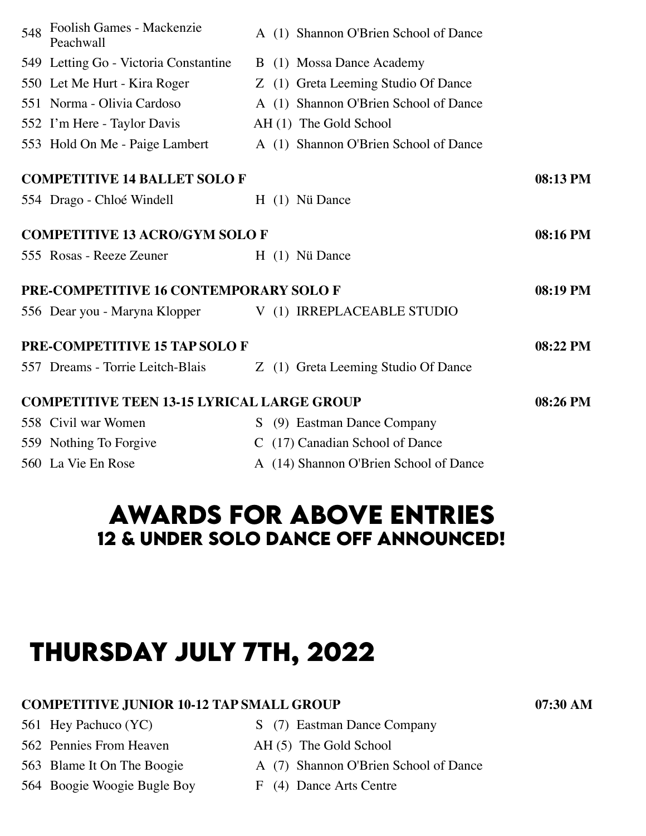| Peachwall |                                                                                                                                                                                                                                                                                                                                                                                                                                                                                |                                       |                                                                                                                                                                                                                                                                                                                                                                                                                                                                                                                                          |
|-----------|--------------------------------------------------------------------------------------------------------------------------------------------------------------------------------------------------------------------------------------------------------------------------------------------------------------------------------------------------------------------------------------------------------------------------------------------------------------------------------|---------------------------------------|------------------------------------------------------------------------------------------------------------------------------------------------------------------------------------------------------------------------------------------------------------------------------------------------------------------------------------------------------------------------------------------------------------------------------------------------------------------------------------------------------------------------------------------|
|           |                                                                                                                                                                                                                                                                                                                                                                                                                                                                                |                                       |                                                                                                                                                                                                                                                                                                                                                                                                                                                                                                                                          |
|           |                                                                                                                                                                                                                                                                                                                                                                                                                                                                                |                                       |                                                                                                                                                                                                                                                                                                                                                                                                                                                                                                                                          |
|           |                                                                                                                                                                                                                                                                                                                                                                                                                                                                                |                                       |                                                                                                                                                                                                                                                                                                                                                                                                                                                                                                                                          |
|           |                                                                                                                                                                                                                                                                                                                                                                                                                                                                                |                                       |                                                                                                                                                                                                                                                                                                                                                                                                                                                                                                                                          |
|           |                                                                                                                                                                                                                                                                                                                                                                                                                                                                                |                                       |                                                                                                                                                                                                                                                                                                                                                                                                                                                                                                                                          |
|           |                                                                                                                                                                                                                                                                                                                                                                                                                                                                                |                                       | 08:13 PM                                                                                                                                                                                                                                                                                                                                                                                                                                                                                                                                 |
|           |                                                                                                                                                                                                                                                                                                                                                                                                                                                                                |                                       |                                                                                                                                                                                                                                                                                                                                                                                                                                                                                                                                          |
|           |                                                                                                                                                                                                                                                                                                                                                                                                                                                                                |                                       | 08:16 PM                                                                                                                                                                                                                                                                                                                                                                                                                                                                                                                                 |
|           |                                                                                                                                                                                                                                                                                                                                                                                                                                                                                |                                       |                                                                                                                                                                                                                                                                                                                                                                                                                                                                                                                                          |
|           |                                                                                                                                                                                                                                                                                                                                                                                                                                                                                |                                       | 08:19 PM                                                                                                                                                                                                                                                                                                                                                                                                                                                                                                                                 |
|           |                                                                                                                                                                                                                                                                                                                                                                                                                                                                                |                                       |                                                                                                                                                                                                                                                                                                                                                                                                                                                                                                                                          |
|           |                                                                                                                                                                                                                                                                                                                                                                                                                                                                                |                                       | 08:22 PM                                                                                                                                                                                                                                                                                                                                                                                                                                                                                                                                 |
|           |                                                                                                                                                                                                                                                                                                                                                                                                                                                                                |                                       |                                                                                                                                                                                                                                                                                                                                                                                                                                                                                                                                          |
|           |                                                                                                                                                                                                                                                                                                                                                                                                                                                                                |                                       | 08:26 PM                                                                                                                                                                                                                                                                                                                                                                                                                                                                                                                                 |
|           | S.                                                                                                                                                                                                                                                                                                                                                                                                                                                                             |                                       |                                                                                                                                                                                                                                                                                                                                                                                                                                                                                                                                          |
|           |                                                                                                                                                                                                                                                                                                                                                                                                                                                                                |                                       |                                                                                                                                                                                                                                                                                                                                                                                                                                                                                                                                          |
|           |                                                                                                                                                                                                                                                                                                                                                                                                                                                                                |                                       |                                                                                                                                                                                                                                                                                                                                                                                                                                                                                                                                          |
|           | Foolish Games - Mackenzie<br>549 Letting Go - Victoria Constantine<br>550 Let Me Hurt - Kira Roger<br>551 Norma - Olivia Cardoso<br>552 I'm Here - Taylor Davis<br>553 Hold On Me - Paige Lambert<br><b>COMPETITIVE 14 BALLET SOLO F</b><br>554 Drago - Chloé Windell<br>555 Rosas - Reeze Zeuner<br>556 Dear you - Maryna Klopper<br>PRE-COMPETITIVE 15 TAP SOLO F<br>557 Dreams - Torrie Leitch-Blais<br>558 Civil war Women<br>559 Nothing To Forgive<br>560 La Vie En Rose | <b>COMPETITIVE 13 ACRO/GYM SOLO F</b> | A (1) Shannon O'Brien School of Dance<br>B (1) Mossa Dance Academy<br>Z (1) Greta Leeming Studio Of Dance<br>A (1) Shannon O'Brien School of Dance<br>AH (1) The Gold School<br>A (1) Shannon O'Brien School of Dance<br>H (1) Nü Dance<br>$H(1)$ Nü Dance<br>PRE-COMPETITIVE 16 CONTEMPORARY SOLO F<br>V (1) IRREPLACEABLE STUDIO<br>Z (1) Greta Leeming Studio Of Dance<br><b>COMPETITIVE TEEN 13-15 LYRICAL LARGE GROUP</b><br>(9) Eastman Dance Company<br>C (17) Canadian School of Dance<br>A (14) Shannon O'Brien School of Dance |

## **awards for above entrIes 12 & under solo dance off announced!**

# **thursday july 7th, 2022**

### **COMPETITIVE JUNIOR 10-12 TAP SMALL GROUP 07:30 AM**

- 
- 562 Pennies From Heaven AH (5) The Gold School
- 
- 564 Boogie Woogie Bugle Boy F (4) Dance Arts Centre
- 561 Hey Pachuco (YC) S (7) Eastman Dance Company
	-
- 563 Blame It On The Boogie A (7) Shannon O'Brien School of Dance
	-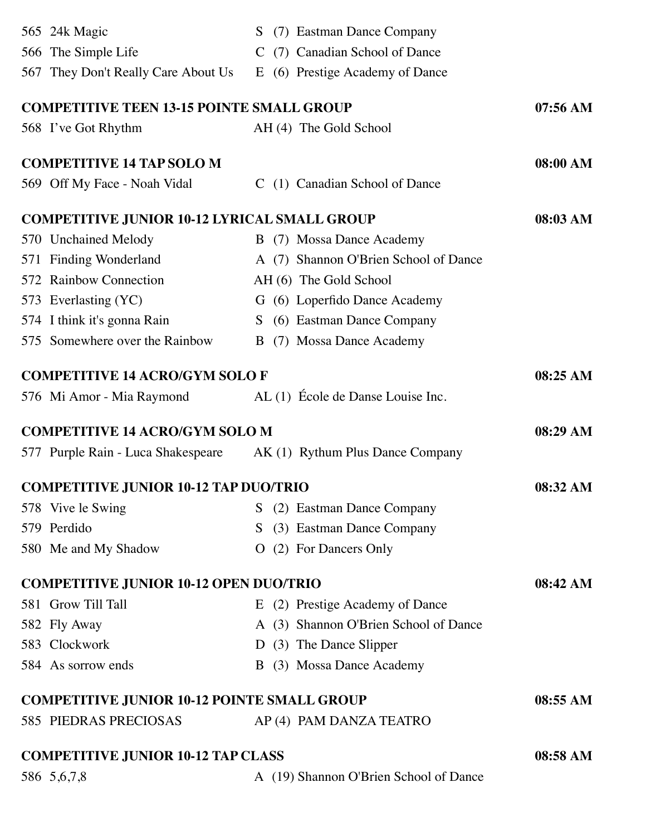| 565 24k Magic                                       | (7) Eastman Dance Company<br>S.       |                    |
|-----------------------------------------------------|---------------------------------------|--------------------|
| 566 The Simple Life                                 | C (7) Canadian School of Dance        |                    |
| 567 They Don't Really Care About Us                 | E (6) Prestige Academy of Dance       |                    |
| <b>COMPETITIVE TEEN 13-15 POINTE SMALL GROUP</b>    |                                       | $07:56 \text{ AM}$ |
| 568 I've Got Rhythm                                 | AH (4) The Gold School                |                    |
| <b>COMPETITIVE 14 TAP SOLO M</b>                    |                                       | 08:00 AM           |
| 569 Off My Face - Noah Vidal                        | C (1) Canadian School of Dance        |                    |
| <b>COMPETITIVE JUNIOR 10-12 LYRICAL SMALL GROUP</b> |                                       | 08:03 AM           |
| 570 Unchained Melody                                | B (7) Mossa Dance Academy             |                    |
| 571 Finding Wonderland                              | A (7) Shannon O'Brien School of Dance |                    |
| 572 Rainbow Connection                              | AH (6) The Gold School                |                    |
| 573 Everlasting (YC)                                | G (6) Loperfido Dance Academy         |                    |
| 574 I think it's gonna Rain                         | S (6) Eastman Dance Company           |                    |
| 575 Somewhere over the Rainbow                      | (7) Mossa Dance Academy<br>B          |                    |
| <b>COMPETITIVE 14 ACRO/GYM SOLO F</b>               |                                       | 08:25 AM           |
| 576 Mi Amor - Mia Raymond                           | AL (1) École de Danse Louise Inc.     |                    |
|                                                     |                                       |                    |
| <b>COMPETITIVE 14 ACRO/GYM SOLO M</b>               |                                       | 08:29 AM           |
| 577 Purple Rain - Luca Shakespeare                  | AK (1) Rythum Plus Dance Company      |                    |
| <b>COMPETITIVE JUNIOR 10-12 TAP DUO/TRIO</b>        |                                       | 08:32 AM           |
| 578 Vive le Swing                                   | (2) Eastman Dance Company<br>S.       |                    |
| 579 Perdido                                         | (3) Eastman Dance Company<br>S.       |                    |
| 580 Me and My Shadow                                | (2) For Dancers Only<br>$\Omega$      |                    |
| <b>COMPETITIVE JUNIOR 10-12 OPEN DUO/TRIO</b>       |                                       | 08:42 AM           |
| 581 Grow Till Tall                                  | E (2) Prestige Academy of Dance       |                    |
| 582 Fly Away                                        | A (3) Shannon O'Brien School of Dance |                    |
| 583 Clockwork                                       | D (3) The Dance Slipper               |                    |
| 584 As sorrow ends                                  | (3) Mossa Dance Academy<br>B.         |                    |
| <b>COMPETITIVE JUNIOR 10-12 POINTE SMALL GROUP</b>  |                                       | 08:55 AM           |
| 585 PIEDRAS PRECIOSAS                               | AP (4) PAM DANZA TEATRO               |                    |
| <b>COMPETITIVE JUNIOR 10-12 TAP CLASS</b>           |                                       | 08:58 AM           |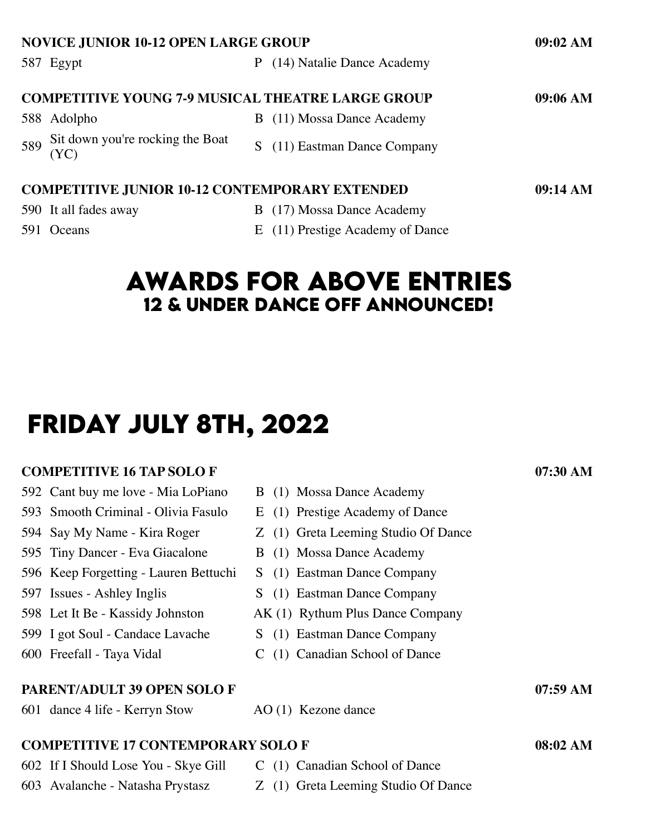| <b>NOVICE JUNIOR 10-12 OPEN LARGE GROUP</b> |                                                                   |          |                            |          |  |  |  |
|---------------------------------------------|-------------------------------------------------------------------|----------|----------------------------|----------|--|--|--|
|                                             | 587 Egypt                                                         |          | (14) Natalie Dance Academy |          |  |  |  |
|                                             | <b>COMPETITIVE YOUNG 7-9 MUSICAL THEATRE LARGE GROUP</b>          |          |                            | 09:06 AM |  |  |  |
|                                             | 588 Adolpho                                                       | $\bf{B}$ | (11) Mossa Dance Academy   |          |  |  |  |
| 589                                         | Sit down you're rocking the Boat<br>(YC)                          |          | (11) Eastman Dance Company |          |  |  |  |
|                                             | <b>COMPETITIVE JUNIOR 10-12 CONTEMPORARY EXTENDED</b><br>09:14 AM |          |                            |          |  |  |  |
|                                             | 590 It all fades away                                             | B        | (17) Mossa Dance Academy   |          |  |  |  |

591 Oceans E (11) Prestige Academy of Dance

### **awards for above entrIes 12 & under dance off announced!**

## **frIday july 8th, 2022**

#### **COMPETITIVE 16 TAP SOLO F 07:30 AM**

- 592 Cant buy me love Mia LoPiano B (1) Mossa Dance Academy
- 593 Smooth Criminal Olivia Fasulo E (1) Prestige Academy of Dance
- 594 Say My Name Kira Roger Z (1) Greta Leeming Studio Of Dance
- 595 Tiny Dancer Eva Giacalone B (1) Mossa Dance Academy
- 596 Keep Forgetting Lauren Bettuchi S (1) Eastman Dance Company
- 597 Issues Ashley Inglis S (1) Eastman Dance Company
- 598 Let It Be Kassidy Johnston AK (1) Rythum Plus Dance Company
- 599 I got Soul Candace Lavache S (1) Eastman Dance Company
- 600 Freefall Taya Vidal C (1) Canadian School of Dance
- **PARENT/ADULT 39 OPEN SOLO F 07:59 AM** 601 dance 4 life - Kerryn Stow AO (1) Kezone dance **COMPETITIVE 17 CONTEMPORARY SOLO F 08:02 AM** 602 If I Should Lose You - Skye Gill C (1) Canadian School of Dance
- 603 Avalanche Natasha Prystasz Z (1) Greta Leeming Studio Of Dance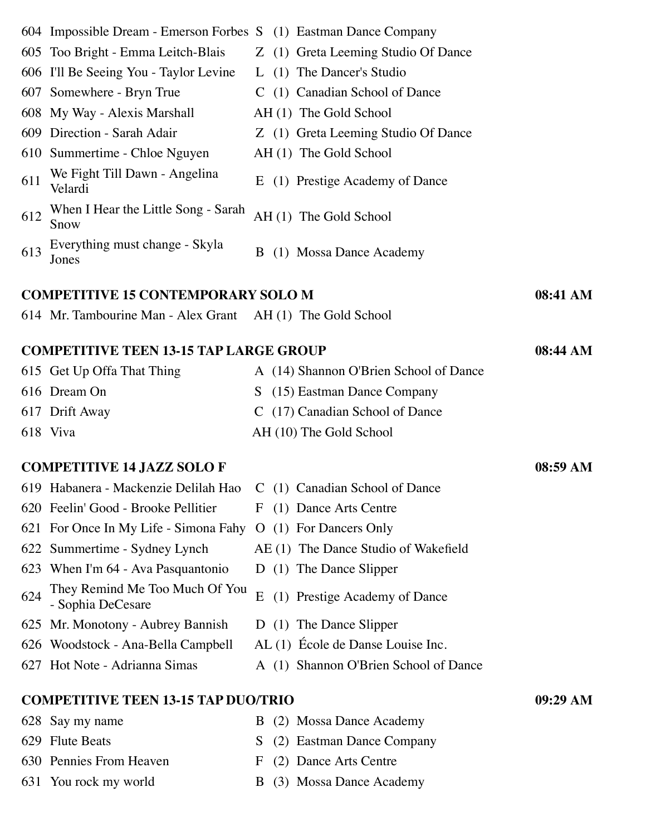|     | 604 Impossible Dream - Emerson Forbes S (1) Eastman Dance Company   |    |                                        |          |
|-----|---------------------------------------------------------------------|----|----------------------------------------|----------|
|     | 605 Too Bright - Emma Leitch-Blais                                  |    | Z (1) Greta Leeming Studio Of Dance    |          |
|     | 606 I'll Be Seeing You - Taylor Levine                              |    | L (1) The Dancer's Studio              |          |
|     | 607 Somewhere - Bryn True                                           |    | C (1) Canadian School of Dance         |          |
|     | 608 My Way - Alexis Marshall                                        |    | AH (1) The Gold School                 |          |
|     | 609 Direction - Sarah Adair                                         |    | Z (1) Greta Leeming Studio Of Dance    |          |
|     | 610 Summertime - Chloe Nguyen                                       |    | AH (1) The Gold School                 |          |
| 611 | We Fight Till Dawn - Angelina<br>Velardi                            | E  | (1) Prestige Academy of Dance          |          |
| 612 | When I Hear the Little Song - Sarah<br>Snow                         |    | AH (1) The Gold School                 |          |
| 613 | Everything must change - Skyla<br>Jones                             |    | B (1) Mossa Dance Academy              |          |
|     | <b>COMPETITIVE 15 CONTEMPORARY SOLO M</b>                           |    |                                        | 08:41 AM |
|     | 614 Mr. Tambourine Man - Alex Grant AH (1) The Gold School          |    |                                        |          |
|     | <b>COMPETITIVE TEEN 13-15 TAP LARGE GROUP</b>                       |    |                                        | 08:44 AM |
|     | 615 Get Up Offa That Thing                                          |    | A (14) Shannon O'Brien School of Dance |          |
|     | 616 Dream On                                                        |    | S (15) Eastman Dance Company           |          |
|     | 617 Drift Away                                                      |    | C (17) Canadian School of Dance        |          |
|     | 618 Viva                                                            |    | AH (10) The Gold School                |          |
|     | <b>COMPETITIVE 14 JAZZ SOLO F</b>                                   |    |                                        | 08:59 AM |
|     | 619 Habanera - Mackenzie Delilah Hao C (1) Canadian School of Dance |    |                                        |          |
|     | 620 Feelin' Good - Brooke Pellitier                                 |    | F (1) Dance Arts Centre                |          |
|     | 621 For Once In My Life - Simona Fahy O (1) For Dancers Only        |    |                                        |          |
|     | 622 Summertime - Sydney Lynch                                       |    | AE (1) The Dance Studio of Wakefield   |          |
|     | 623 When I'm 64 - Ava Pasquantonio                                  |    | D (1) The Dance Slipper                |          |
| 624 | They Remind Me Too Much Of You<br>- Sophia DeCesare                 | E  | (1) Prestige Academy of Dance          |          |
|     | 625 Mr. Monotony - Aubrey Bannish                                   |    | D (1) The Dance Slipper                |          |
|     | 626 Woodstock - Ana-Bella Campbell                                  |    | AL (1) École de Danse Louise Inc.      |          |
|     | 627 Hot Note - Adrianna Simas                                       |    | A (1) Shannon O'Brien School of Dance  |          |
|     | <b>COMPETITIVE TEEN 13-15 TAP DUO/TRIO</b>                          |    |                                        | 09:29 AM |
|     | 628 Say my name                                                     | B  | (2) Mossa Dance Academy                |          |
|     | 629 Flute Beats                                                     | S. | (2) Eastman Dance Company              |          |
|     | 630 Pennies From Heaven                                             | F  | (2) Dance Arts Centre                  |          |
|     | 631 You rock my world                                               |    | B (3) Mossa Dance Academy              |          |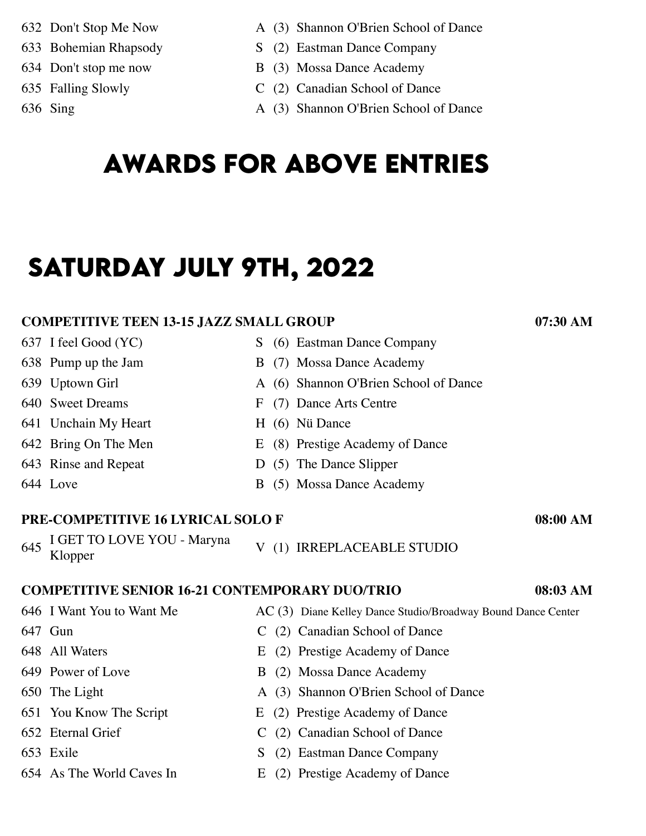- 
- 
- 
- 
- 
- 632 Don't Stop Me Now A (3) Shannon O'Brien School of Dance
- 633 Bohemian Rhapsody S (2) Eastman Dance Company
- 634 Don't stop me now B (3) Mossa Dance Academy
- 635 Falling Slowly C (2) Canadian School of Dance
- 636 Sing A (3) Shannon O'Brien School of Dance

# **awards for above entrIes**

# **saturday july 9th, 2022**

#### **COMPETITIVE TEEN 13-15 JAZZ SMALL GROUP 07:30 AM**

637 I feel Good (YC) S (6) Eastman Dance Company

- 638 Pump up the Jam B (7) Mossa Dance Academy
- 639 Uptown Girl A (6) Shannon O'Brien School of Dance
- 640 Sweet Dreams F (7) Dance Arts Centre
- 641 Unchain My Heart H (6) Nü Dance
- 642 Bring On The Men E (8) Prestige Academy of Dance
- 643 Rinse and Repeat D (5) The Dance Slipper
- 644 Love B (5) Mossa Dance Academy

#### **PRE-COMPETITIVE 16 LYRICAL SOLO F 08:00 AM**

- <sup>645</sup> I GET TO LOVE YOU Maryna
- V (1) IRREPLACEABLE STUDIO

### **COMPETITIVE SENIOR 16-21 CONTEMPORARY DUO/TRIO 08:03 AM**

- 646 I Want You to Want Me
- 647 Gun
- 648 All Waters
- 649 Power of Love
- 650 The Light
- 651 You Know The Script
- 652 Eternal Grief
- 653 Exile
- 654 As The World Caves In
- AC (3) Diane Kelley Dance Studio/Broadway Bound Dance Center
- C (2) Canadian School of Dance
- E (2) Prestige Academy of Dance
- B (2) Mossa Dance Academy
- A (3) Shannon O'Brien School of Dance
- E (2) Prestige Academy of Dance
- C (2) Canadian School of Dance
- S (2) Eastman Dance Company
- E (2) Prestige Academy of Dance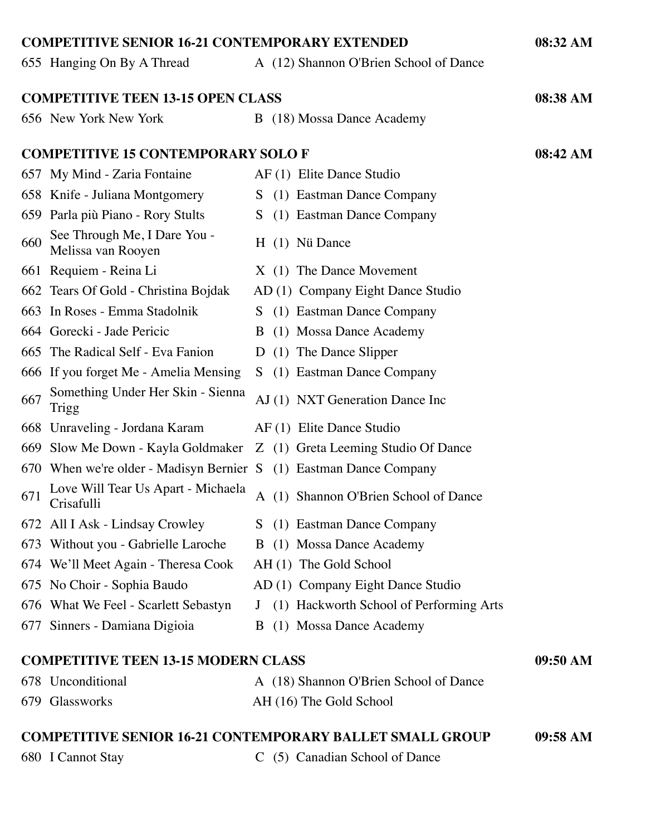| <b>COMPETITIVE SENIOR 16-21 CONTEMPORARY EXTENDED</b> |                                                                        |              |  |                                           |          |
|-------------------------------------------------------|------------------------------------------------------------------------|--------------|--|-------------------------------------------|----------|
|                                                       | 655 Hanging On By A Thread                                             |              |  | A (12) Shannon O'Brien School of Dance    |          |
|                                                       |                                                                        |              |  |                                           |          |
|                                                       | <b>COMPETITIVE TEEN 13-15 OPEN CLASS</b>                               |              |  |                                           | 08:38 AM |
|                                                       | 656 New York New York                                                  |              |  | B (18) Mossa Dance Academy                |          |
|                                                       | <b>COMPETITIVE 15 CONTEMPORARY SOLO F</b>                              |              |  |                                           | 08:42 AM |
|                                                       | 657 My Mind - Zaria Fontaine                                           |              |  | AF (1) Elite Dance Studio                 |          |
|                                                       | 658 Knife - Juliana Montgomery                                         |              |  | S (1) Eastman Dance Company               |          |
|                                                       | 659 Parla più Piano - Rory Stults                                      |              |  | S (1) Eastman Dance Company               |          |
| 660                                                   | See Through Me, I Dare You -<br>Melissa van Rooyen                     |              |  | H (1) Nü Dance                            |          |
|                                                       | 661 Requiem - Reina Li                                                 |              |  | X (1) The Dance Movement                  |          |
|                                                       | 662 Tears Of Gold - Christina Bojdak                                   |              |  | AD (1) Company Eight Dance Studio         |          |
|                                                       | 663 In Roses - Emma Stadolnik                                          |              |  | S (1) Eastman Dance Company               |          |
|                                                       | 664 Gorecki - Jade Pericic                                             |              |  | B (1) Mossa Dance Academy                 |          |
|                                                       | 665 The Radical Self - Eva Fanion                                      |              |  | D (1) The Dance Slipper                   |          |
|                                                       | 666 If you forget Me - Amelia Mensing                                  |              |  | S (1) Eastman Dance Company               |          |
| 667                                                   | Something Under Her Skin - Sienna<br>Trigg                             |              |  | AJ (1) NXT Generation Dance Inc           |          |
|                                                       | 668 Unraveling - Jordana Karam                                         |              |  | AF (1) Elite Dance Studio                 |          |
|                                                       | 669 Slow Me Down - Kayla Goldmaker Z (1) Greta Leeming Studio Of Dance |              |  |                                           |          |
|                                                       | 670 When we're older - Madisyn Bernier S (1) Eastman Dance Company     |              |  |                                           |          |
| 671                                                   | Love Will Tear Us Apart - Michaela<br>Crisafulli                       | $\mathbf{A}$ |  | (1) Shannon O'Brien School of Dance       |          |
|                                                       | 672 All I Ask - Lindsay Crowley                                        |              |  | S (1) Eastman Dance Company               |          |
|                                                       | 673 Without you - Gabrielle Laroche                                    |              |  | B (1) Mossa Dance Academy                 |          |
|                                                       | 674 We'll Meet Again - Theresa Cook                                    |              |  | AH (1) The Gold School                    |          |
|                                                       | 675 No Choir - Sophia Baudo                                            |              |  | AD (1) Company Eight Dance Studio         |          |
|                                                       | 676 What We Feel - Scarlett Sebastyn                                   |              |  | J (1) Hackworth School of Performing Arts |          |
|                                                       | 677 Sinners - Damiana Digioia                                          |              |  | B (1) Mossa Dance Academy                 |          |
|                                                       | <b>COMPETITIVE TEEN 13-15 MODERN CLASS</b>                             |              |  |                                           | 09:50 AM |
|                                                       | 678 Unconditional                                                      |              |  | A (18) Shannon O'Brien School of Dance    |          |
|                                                       | 679 Glassworks                                                         |              |  | AH (16) The Gold School                   |          |
|                                                       |                                                                        |              |  |                                           |          |
|                                                       | <b>COMPETITIVE SENIOR 16-21 CONTEMPORARY BALLET SMALL GROUP</b>        |              |  |                                           | 09:58 AM |
|                                                       | 680 I Cannot Stay                                                      |              |  | C (5) Canadian School of Dance            |          |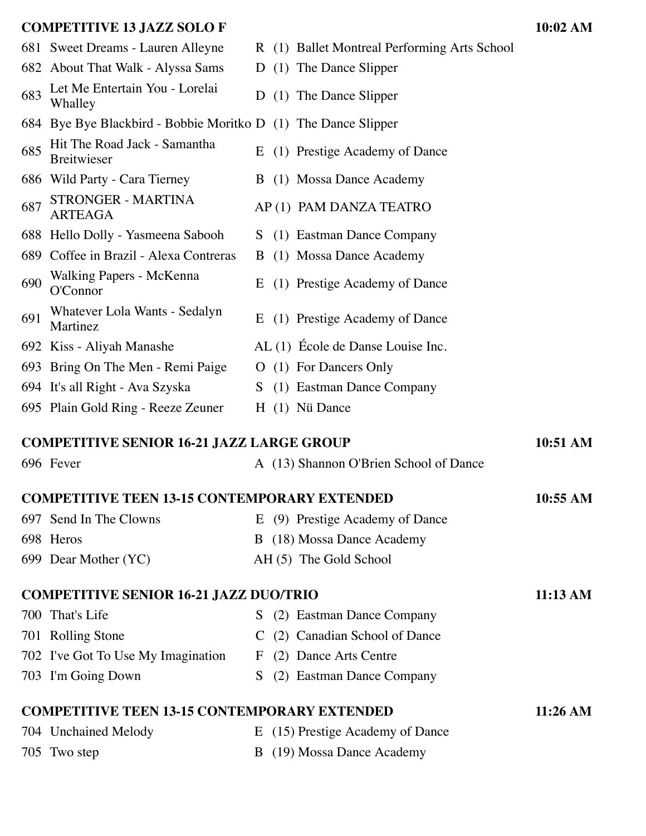#### **COMPETITIVE 13 JAZZ SOLO F 10:02 AM**

- 682 About That Walk Alyssa Sams D (1) The Dance Slipper
- <sup>683</sup> Let Me Entertain You Lorelai
- 684 Bye Bye Blackbird Bobbie Moritko D (1) The Dance Slipper
- <sup>685</sup> Hit The Road Jack Samantha
- 
- 687 STRONGER MARTINA
- 688 Hello Dolly Yasmeena Sabooh S (1) Eastman Dance Company
- 689 Coffee in Brazil Alexa Contreras B (1) Mossa Dance Academy
- 690 Walking Papers McKenna<br>O'Connor
- <sup>691</sup> Whatever Lola Wants Sedalyn
- 
- 693 Bring On The Men Remi Paige  $\qquad$  O (1) For Dancers Only
- 694 It's all Right Ava Szyska S (1) Eastman Dance Company
- 695 Plain Gold Ring Reeze Zeuner H (1) Nü Dance

### **COMPETITIVE SENIOR 16-21 JAZZ LARGE GROUP 10:51 AM**

### 696 Fever A (13) Shannon O'Brien School of Dance

| <b>COMPETITIVE TEEN 13-15 CONTEMPORARY EXTENDED</b> |                        |                                 |  |  |  |
|-----------------------------------------------------|------------------------|---------------------------------|--|--|--|
|                                                     | 697 Send In The Clowns | E (9) Prestige Academy of Dance |  |  |  |
|                                                     | 698 Heros              | B (18) Mossa Dance Academy      |  |  |  |
|                                                     | 699 Dear Mother (YC)   | AH (5) The Gold School          |  |  |  |

#### **COMPETITIVE SENIOR 16-21 JAZZ DUO/TRIO 11:13 AM**

700 That's Life S (2) Eastman Dance Company 701 Rolling Stone C (2) Canadian School of Dance 702 I've Got To Use My Imagination F (2) Dance Arts Centre 703 I'm Going Down S (2) Eastman Dance Company **COMPETITIVE TEEN 13-15 CONTEMPORARY EXTENDED 11:26 AM**

### 704 Unchained Melody E (15) Prestige Academy of Dance 705 Two step B (19) Mossa Dance Academy

- 681 Sweet Dreams Lauren Alleyne R (1) Ballet Montreal Performing Arts School
	-
	- D (1) The Dance Slipper
	- - E (1) Prestige Academy of Dance
- 686 Wild Party Cara Tierney B (1) Mossa Dance Academy
	- AP (1) PAM DANZA TEATRO
	-
	-
	- E (1) Prestige Academy of Dance
	- E (1) Prestige Academy of Dance
- 692 Kiss Aliyah Manashe AL (1) École de Danse Louise Inc.
	-
	-
	-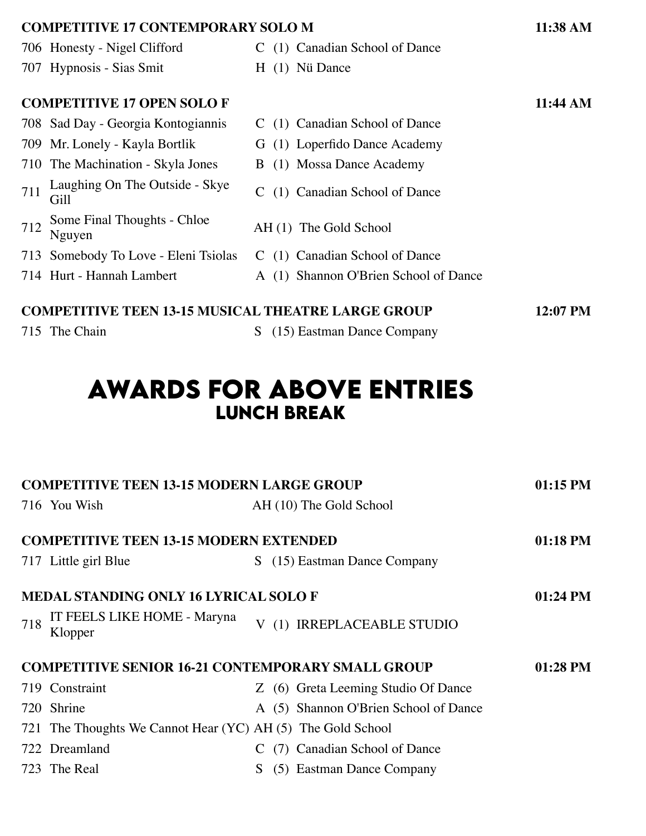| <b>COMPETITIVE 17 CONTEMPORARY SOLO M</b>                             |                                        |                                       |  |  |
|-----------------------------------------------------------------------|----------------------------------------|---------------------------------------|--|--|
|                                                                       | 706 Honesty - Nigel Clifford           | C (1) Canadian School of Dance        |  |  |
|                                                                       | 707 Hypnosis - Sias Smit               | $H(1)$ Nü Dance                       |  |  |
| <b>COMPETITIVE 17 OPEN SOLOF</b>                                      |                                        |                                       |  |  |
|                                                                       | 708 Sad Day - Georgia Kontogiannis     | C (1) Canadian School of Dance        |  |  |
|                                                                       | 709 Mr. Lonely - Kayla Bortlik         | G (1) Loperfido Dance Academy         |  |  |
|                                                                       | 710 The Machination - Skyla Jones      | B (1) Mossa Dance Academy             |  |  |
| 711                                                                   | Laughing On The Outside - Skye<br>Gill | (1) Canadian School of Dance          |  |  |
| 712                                                                   | Some Final Thoughts - Chloe<br>Nguyen  | AH (1) The Gold School                |  |  |
|                                                                       | 713 Somebody To Love - Eleni Tsiolas   | C (1) Canadian School of Dance        |  |  |
|                                                                       | 714 Hurt - Hannah Lambert              | A (1) Shannon O'Brien School of Dance |  |  |
| <b>COMPETITIVE TEEN 13-15 MUSICAL THEATRE LARGE GROUP</b><br>12:07 PM |                                        |                                       |  |  |

### 715 The Chain S (15) Eastman Dance Company

## **awards for above entrIes lunch break**

| <b>COMPETITIVE TEEN 13-15 MODERN LARGE GROUP</b>                     |                                                             |    |  |                                       | 01:15 PM   |  |  |
|----------------------------------------------------------------------|-------------------------------------------------------------|----|--|---------------------------------------|------------|--|--|
|                                                                      | 716 You Wish                                                |    |  | AH (10) The Gold School               |            |  |  |
| <b>COMPETITIVE TEEN 13-15 MODERN EXTENDED</b>                        |                                                             |    |  |                                       |            |  |  |
|                                                                      |                                                             |    |  |                                       | 01:18 PM   |  |  |
|                                                                      | 717 Little girl Blue                                        | S. |  | (15) Eastman Dance Company            |            |  |  |
|                                                                      |                                                             |    |  |                                       |            |  |  |
|                                                                      | <b>MEDAL STANDING ONLY 16 LYRICAL SOLO F</b>                |    |  |                                       | $01:24$ PM |  |  |
| 718                                                                  | IT FEELS LIKE HOME - Maryna<br>Klopper                      |    |  | V (1) IRREPLACEABLE STUDIO            |            |  |  |
| <b>COMPETITIVE SENIOR 16-21 CONTEMPORARY SMALL GROUP</b><br>01:28 PM |                                                             |    |  |                                       |            |  |  |
|                                                                      | 719 Constraint                                              |    |  | Z (6) Greta Leeming Studio Of Dance   |            |  |  |
|                                                                      | 720 Shrine                                                  |    |  | A (5) Shannon O'Brien School of Dance |            |  |  |
|                                                                      | 721 The Thoughts We Cannot Hear (YC) AH (5) The Gold School |    |  |                                       |            |  |  |
|                                                                      | 722 Dreamland                                               |    |  | (7) Canadian School of Dance          |            |  |  |
|                                                                      | 723 The Real                                                | S. |  | (5) Eastman Dance Company             |            |  |  |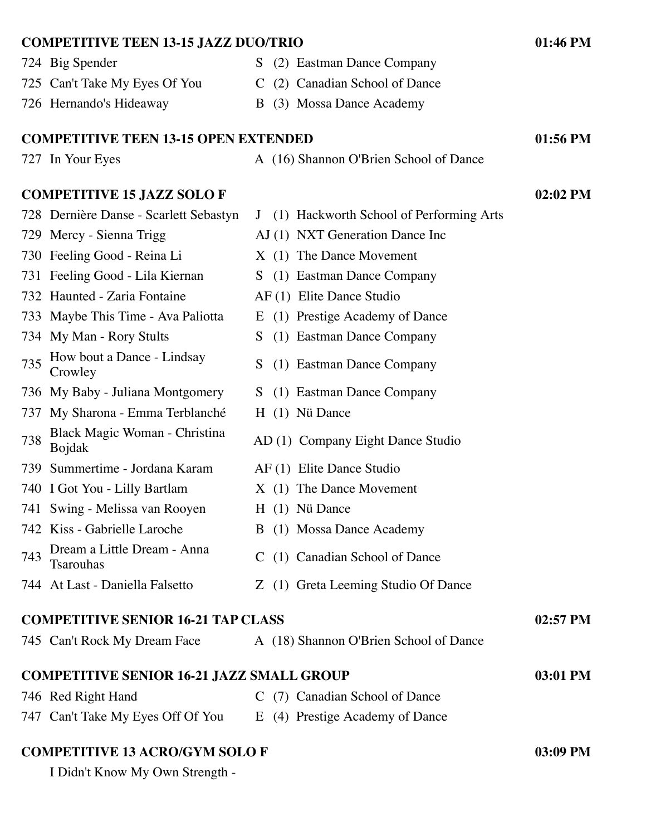| <b>COMPETITIVE TEEN 13-15 JAZZ DUO/TRIO</b><br>01:46 PM      |                                                         |            |  |  |  |
|--------------------------------------------------------------|---------------------------------------------------------|------------|--|--|--|
| 724 Big Spender                                              | S (2) Eastman Dance Company                             |            |  |  |  |
| 725 Can't Take My Eyes Of You                                | C (2) Canadian School of Dance                          |            |  |  |  |
| 726 Hernando's Hideaway                                      | (3) Mossa Dance Academy<br>B                            |            |  |  |  |
|                                                              |                                                         |            |  |  |  |
| <b>COMPETITIVE TEEN 13-15 OPEN EXTENDED</b>                  |                                                         | 01:56 PM   |  |  |  |
| 727 In Your Eyes                                             | A (16) Shannon O'Brien School of Dance                  |            |  |  |  |
| <b>COMPETITIVE 15 JAZZ SOLOF</b>                             |                                                         | $02:02$ PM |  |  |  |
| 728 Dernière Danse - Scarlett Sebastyn                       | (1) Hackworth School of Performing Arts<br>$\mathsf{J}$ |            |  |  |  |
| 729 Mercy - Sienna Trigg                                     | AJ (1) NXT Generation Dance Inc                         |            |  |  |  |
| 730 Feeling Good - Reina Li                                  | X (1) The Dance Movement                                |            |  |  |  |
| 731 Feeling Good - Lila Kiernan                              | S (1) Eastman Dance Company                             |            |  |  |  |
| 732 Haunted - Zaria Fontaine                                 | AF (1) Elite Dance Studio                               |            |  |  |  |
| 733 Maybe This Time - Ava Paliotta                           | E (1) Prestige Academy of Dance                         |            |  |  |  |
| 734 My Man - Rory Stults                                     | (1) Eastman Dance Company<br>S.                         |            |  |  |  |
| How bout a Dance - Lindsay<br>735<br>Crowley                 | S<br>(1) Eastman Dance Company                          |            |  |  |  |
| 736 My Baby - Juliana Montgomery                             | (1) Eastman Dance Company<br>S.                         |            |  |  |  |
| My Sharona - Emma Terblanché<br>737                          | H (1) Nü Dance                                          |            |  |  |  |
| Black Magic Woman - Christina<br>738<br><b>Bojdak</b>        | AD (1) Company Eight Dance Studio                       |            |  |  |  |
| Summertime - Jordana Karam<br>739                            | AF (1) Elite Dance Studio                               |            |  |  |  |
| 740 I Got You - Lilly Bartlam                                | X (1) The Dance Movement                                |            |  |  |  |
| 741 Swing - Melissa van Rooyen                               | H (1) Nü Dance                                          |            |  |  |  |
| 742 Kiss - Gabrielle Laroche                                 | B (1) Mossa Dance Academy                               |            |  |  |  |
| Dream a Little Dream - Anna<br>743<br>Tsarouhas              | C (1) Canadian School of Dance                          |            |  |  |  |
| 744 At Last - Daniella Falsetto                              | Z (1) Greta Leeming Studio Of Dance                     |            |  |  |  |
| <b>COMPETITIVE SENIOR 16-21 TAP CLASS</b><br>02:57 PM        |                                                         |            |  |  |  |
| 745 Can't Rock My Dream Face                                 | A (18) Shannon O'Brien School of Dance                  |            |  |  |  |
| <b>COMPETITIVE SENIOR 16-21 JAZZ SMALL GROUP</b><br>03:01 PM |                                                         |            |  |  |  |
| 746 Red Right Hand                                           | C (7) Canadian School of Dance                          |            |  |  |  |
| 747 Can't Take My Eyes Off Of You                            | E (4) Prestige Academy of Dance                         |            |  |  |  |

**COMPETITIVE 13 ACRO/GYM SOLO F 03:09 PM**

I Didn't Know My Own Strength -